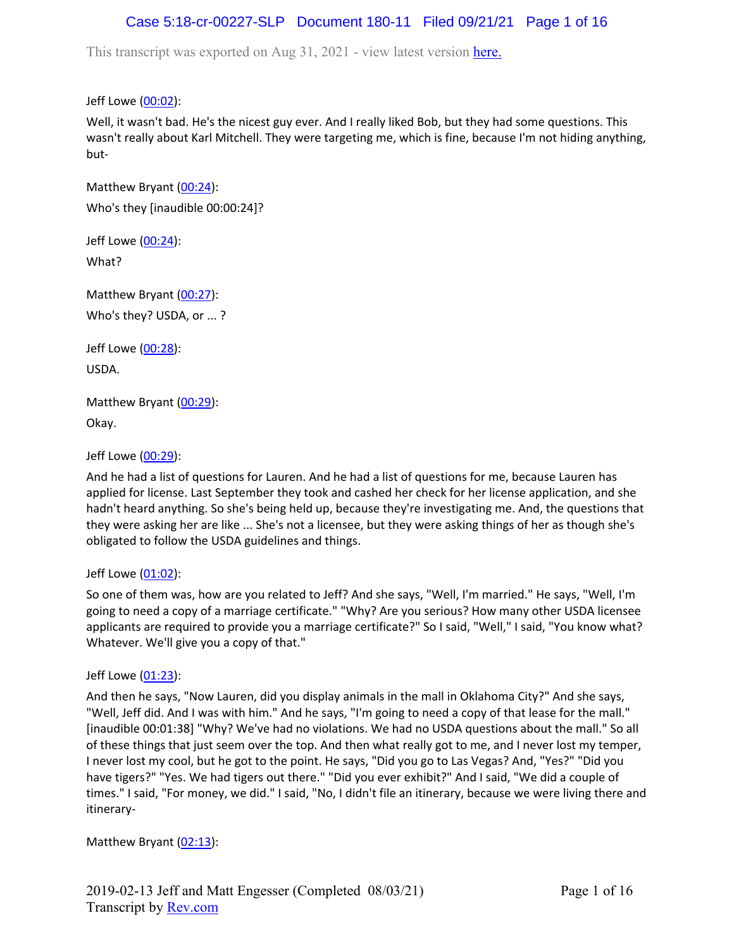# Case 5:18-cr-00227-SLP Document 180-11 Filed 09/21/21 Page 1 of 16

This transcript was exported on Aug 31, 2021 - view latest version [here.](https://www.rev.com/transcript-editor/Edit?token=4mO5ZsIvQHh7vC_JD3HCcVAx43sogecZ4KcDj5SY2EgU0n2j0tv6N0SOYbHFgzid9cJ5dHSW6zKV1BAVKjyK1rloiqE&loadFrom=DocumentHeaderDeepLink)

Jeff Lowe ([00:02](https://www.rev.com/transcript-editor/Edit?token=oSibBnQiIWilIGJxInaPqF-npUVz8ppejNE40vPRc3PRmjPgL1j-4r9yqDBcr-Sxs67v3Xnz8o_RBYZHyF5AfhMW7sE&loadFrom=DocumentDeeplink&ts=2.81)):

Well, it wasn't bad. He's the nicest guy ever. And I really liked Bob, but they had some questions. This wasn't really about Karl Mitchell. They were targeting me, which is fine, because I'm not hiding anything, but-

Matthew Bryant ([00:24](https://www.rev.com/transcript-editor/Edit?token=RXlVGRScYoQf72XCJcRFZ0b6UAkWaG45aDT9hUfodXlDBUDYey2lJTDpoTOgLvkJuB46Hk6EsUTwxtC7cUF5zQTsp1w&loadFrom=DocumentDeeplink&ts=24)): Who's they [inaudible 00:00:24]?

Jeff Lowe ([00:24](https://www.rev.com/transcript-editor/Edit?token=sbqB7807kwSqASGgEAZuTHOY4owu6S5zD3012dgJDyWmQJpK4fzOkT8xZCtcoCoGdbprCa9T5baaGIksupL1EJ5Hdbw&loadFrom=DocumentDeeplink&ts=24)): What?

Matthew Bryant ([00:27](https://www.rev.com/transcript-editor/Edit?token=nHZQSl-HQPWE4ZAOd-uZsFALX3EcpQ8dczTgKNQS-ZbwzHT4fZdHCGN8UFAipD7TnsVAUFg2EhK8LccjS60bReUH3Qg&loadFrom=DocumentDeeplink&ts=27.15)): Who's they? USDA, or ... ?

Jeff Lowe ([00:28](https://www.rev.com/transcript-editor/Edit?token=Luv0KypsTVB5iDo6aSaYbLwsWQgtcLTrFy0rnwB_IFSLkls1X_gLcnIk2vXi2ouOaEsI5c88o7RcMGYg1nzEm_wMXgg&loadFrom=DocumentDeeplink&ts=28.18)): USDA.

Matthew Bryant ([00:29](https://www.rev.com/transcript-editor/Edit?token=G1c6nt5ZOwqtDN8dp76njAN9a8pD147sODwuU67J6FkJwMNNsOrEy9beSG2OjniLOzPufBGqU4O6dx0oc6mWLhXDCc0&loadFrom=DocumentDeeplink&ts=29.16)): Okay.

Jeff Lowe ([00:29](https://www.rev.com/transcript-editor/Edit?token=txSVz97CiQfv0iziIsB38uX2-N5BuQiM39kC84nP-ZIb7tw4gAkFoQ8suzpAtnhnOX9T5sXoio8Ku4O4PwFmGAtUDkc&loadFrom=DocumentDeeplink&ts=29.97)):

And he had a list of questions for Lauren. And he had a list of questions for me, because Lauren has applied for license. Last September they took and cashed her check for her license application, and she hadn't heard anything. So she's being held up, because they're investigating me. And, the questions that they were asking her are like ... She's not a licensee, but they were asking things of her as though she's obligated to follow the USDA guidelines and things.

### Jeff Lowe ([01:02](https://www.rev.com/transcript-editor/Edit?token=yAZjnTHoUe9dddulLVUmANMQQrfXiMMXMtXQ0gIA2ZvdqKiEVshQEgMIBO_p4dgr_ih5WVMd2J2HkWoge6YOaPo9NRA&loadFrom=DocumentDeeplink&ts=62.67)):

So one of them was, how are you related to Jeff? And she says, "Well, I'm married." He says, "Well, I'm going to need a copy of a marriage certificate." "Why? Are you serious? How many other USDA licensee applicants are required to provide you a marriage certificate?" So I said, "Well," I said, "You know what? Whatever. We'll give you a copy of that."

### Jeff Lowe ([01:23](https://www.rev.com/transcript-editor/Edit?token=9gSEXcRCoUpCIWJ4_QRc0YCyctVyUad4S-zzTNe3ZGZbwAN3c_pgZgO2N3xlrNhc-R9vhCsDCC4wNDBnKIEtC01Bce8&loadFrom=DocumentDeeplink&ts=83.22)):

And then he says, "Now Lauren, did you display animals in the mall in Oklahoma City?" And she says, "Well, Jeff did. And I was with him." And he says, "I'm going to need a copy of that lease for the mall." [inaudible 00:01:38] "Why? We've had no violations. We had no USDA questions about the mall." So all of these things that just seem over the top. And then what really got to me, and I never lost my temper, I never lost my cool, but he got to the point. He says, "Did you go to Las Vegas? And, "Yes?" "Did you have tigers?" "Yes. We had tigers out there." "Did you ever exhibit?" And I said, "We did a couple of times." I said, "For money, we did." I said, "No, I didn't file an itinerary, because we were living there and itinerary-

Matthew Bryant ([02:13](https://www.rev.com/transcript-editor/Edit?token=WTayRAm4EzHPcFtgIG_RnwuFL_sZVhRA7uLgziosZfck0ZeL8hrWnoruxzmlV2D5vOC_nsbx5YldPGruAyKfsbIwNh8&loadFrom=DocumentDeeplink&ts=133.67)):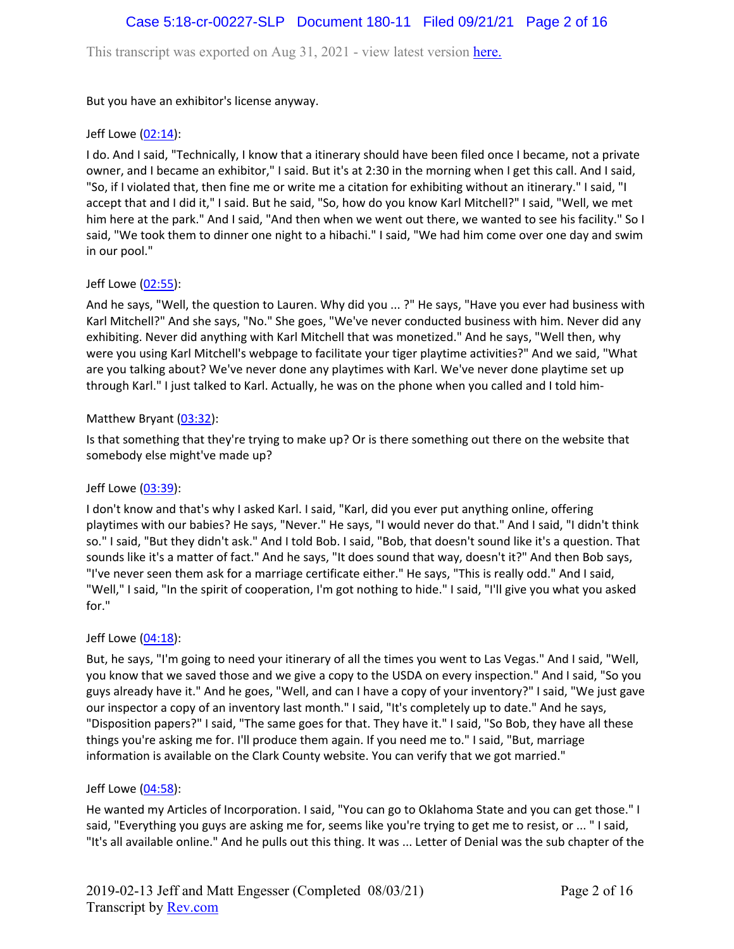## Case 5:18-cr-00227-SLP Document 180-11 Filed 09/21/21 Page 2 of 16

This transcript was exported on Aug 31, 2021 - view latest version [here.](https://www.rev.com/transcript-editor/Edit?token=4mO5ZsIvQHh7vC_JD3HCcVAx43sogecZ4KcDj5SY2EgU0n2j0tv6N0SOYbHFgzid9cJ5dHSW6zKV1BAVKjyK1rloiqE&loadFrom=DocumentHeaderDeepLink)

But you have an exhibitor's license anyway.

### Jeff Lowe ([02:14](https://www.rev.com/transcript-editor/Edit?token=BLHshzOxlgP6BRm16qM8uzt-31SrUGfo4RiBBBA85lAkEZ6CJZl6sdkK3ENnJoSKGoJq0kL5tUHbghhDRwFl4EDo_Js&loadFrom=DocumentDeeplink&ts=134.51)):

I do. And I said, "Technically, I know that a itinerary should have been filed once I became, not a private owner, and I became an exhibitor," I said. But it's at 2:30 in the morning when I get this call. And I said, "So, if I violated that, then fine me or write me a citation for exhibiting without an itinerary." I said, "I accept that and I did it," I said. But he said, "So, how do you know Karl Mitchell?" I said, "Well, we met him here at the park." And I said, "And then when we went out there, we wanted to see his facility." So I said, "We took them to dinner one night to a hibachi." I said, "We had him come over one day and swim in our pool."

### Jeff Lowe ([02:55](https://www.rev.com/transcript-editor/Edit?token=rnU4he-xE-pjotkj91TZypnbErpe8um1t3RlLB_WSqZ15XQ88l_PuP7iM0veszap3z_U6STP6IHlbK0q1Iw2AQdGP-4&loadFrom=DocumentDeeplink&ts=175.07)):

And he says, "Well, the question to Lauren. Why did you ... ?" He says, "Have you ever had business with Karl Mitchell?" And she says, "No." She goes, "We've never conducted business with him. Never did any exhibiting. Never did anything with Karl Mitchell that was monetized." And he says, "Well then, why were you using Karl Mitchell's webpage to facilitate your tiger playtime activities?" And we said, "What are you talking about? We've never done any playtimes with Karl. We've never done playtime set up through Karl." I just talked to Karl. Actually, he was on the phone when you called and I told him-

### Matthew Bryant ([03:32](https://www.rev.com/transcript-editor/Edit?token=grgVJShTTclniFSJFYTToTt9g36qOv-IX30xMEx66qpjwGGon9Qq3ig69CHhancUrd6V3dsLMgkylnnjXuF9JXwxWSA&loadFrom=DocumentDeeplink&ts=212.81)):

Is that something that they're trying to make up? Or is there something out there on the website that somebody else might've made up?

### Jeff Lowe ([03:39](https://www.rev.com/transcript-editor/Edit?token=H7JLl9MqMxeoqRW6WbTqvvzwBMuRWLZMCyVd-cZm99f57Y2AOevS2P_H9fjSa1OAx3Wl7LfjY4Z7rEMUBqZ-Jdmu2so&loadFrom=DocumentDeeplink&ts=219.32)):

I don't know and that's why I asked Karl. I said, "Karl, did you ever put anything online, offering playtimes with our babies? He says, "Never." He says, "I would never do that." And I said, "I didn't think so." I said, "But they didn't ask." And I told Bob. I said, "Bob, that doesn't sound like it's a question. That sounds like it's a matter of fact." And he says, "It does sound that way, doesn't it?" And then Bob says, "I've never seen them ask for a marriage certificate either." He says, "This is really odd." And I said, "Well," I said, "In the spirit of cooperation, I'm got nothing to hide." I said, "I'll give you what you asked for."

### Jeff Lowe ([04:18](https://www.rev.com/transcript-editor/Edit?token=D42A5_g2pGy_vsRG2UyxEo-d34w9sizT7xBOh9mOTn9LzifUvC_OLeVc9IvD8qmGQhFh8dizSM2WX8pmv0R9869OOCs&loadFrom=DocumentDeeplink&ts=258.64)):

But, he says, "I'm going to need your itinerary of all the times you went to Las Vegas." And I said, "Well, you know that we saved those and we give a copy to the USDA on every inspection." And I said, "So you guys already have it." And he goes, "Well, and can I have a copy of your inventory?" I said, "We just gave our inspector a copy of an inventory last month." I said, "It's completely up to date." And he says, "Disposition papers?" I said, "The same goes for that. They have it." I said, "So Bob, they have all these things you're asking me for. I'll produce them again. If you need me to." I said, "But, marriage information is available on the Clark County website. You can verify that we got married."

### Jeff Lowe ([04:58](https://www.rev.com/transcript-editor/Edit?token=-rRIXsIkZILsxx-6mJYxKUElkYIpxUo9iE6T8nT4yPOCvmWbmlMOzAqtmh0MXCMeBeIM8XKNJgafR7OPG5xLJpt30SI&loadFrom=DocumentDeeplink&ts=298.58)):

He wanted my Articles of Incorporation. I said, "You can go to Oklahoma State and you can get those." I said, "Everything you guys are asking me for, seems like you're trying to get me to resist, or ... " I said, "It's all available online." And he pulls out this thing. It was ... Letter of Denial was the sub chapter of the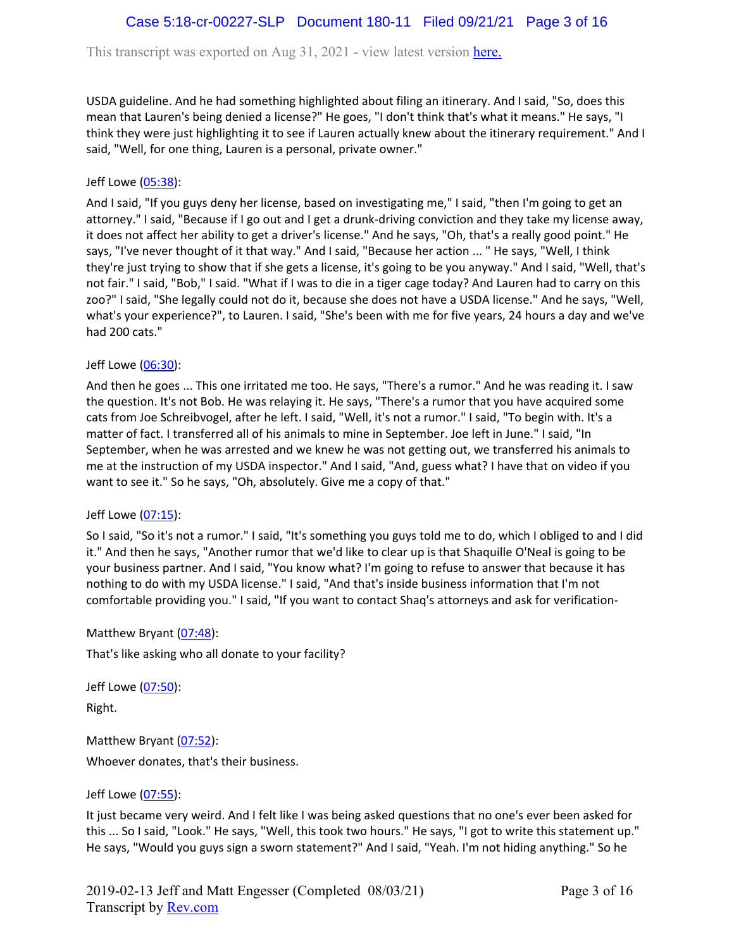This transcript was exported on Aug 31, 2021 - view latest version [here.](https://www.rev.com/transcript-editor/Edit?token=4mO5ZsIvQHh7vC_JD3HCcVAx43sogecZ4KcDj5SY2EgU0n2j0tv6N0SOYbHFgzid9cJ5dHSW6zKV1BAVKjyK1rloiqE&loadFrom=DocumentHeaderDeepLink)

USDA guideline. And he had something highlighted about filing an itinerary. And I said, "So, does this mean that Lauren's being denied a license?" He goes, "I don't think that's what it means." He says, "I think they were just highlighting it to see if Lauren actually knew about the itinerary requirement." And I said, "Well, for one thing, Lauren is a personal, private owner."

### Jeff Lowe ([05:38](https://www.rev.com/transcript-editor/Edit?token=bAIK1Olv6wjgJXgPQKxzcJyc8-y6ydivxPQKxHzPbWPfhisAQAxnTl2Csz88U9vJJw86p2-qgv41p_zEHAvnUZPAK-0&loadFrom=DocumentDeeplink&ts=338.79)):

And I said, "If you guys deny her license, based on investigating me," I said, "then I'm going to get an attorney." I said, "Because if I go out and I get a drunk-driving conviction and they take my license away, it does not affect her ability to get a driver's license." And he says, "Oh, that's a really good point." He says, "I've never thought of it that way." And I said, "Because her action ... " He says, "Well, I think they're just trying to show that if she gets a license, it's going to be you anyway." And I said, "Well, that's not fair." I said, "Bob," I said. "What if I was to die in a tiger cage today? And Lauren had to carry on this zoo?" I said, "She legally could not do it, because she does not have a USDA license." And he says, "Well, what's your experience?", to Lauren. I said, "She's been with me for five years, 24 hours a day and we've had 200 cats."

Jeff Lowe ([06:30](https://www.rev.com/transcript-editor/Edit?token=GE2N9vMDBhBhH8oAs8Qx2FcGSOTdc42vatgKT2icFkVDyTF8oDXbyJ1Ck7Vl9kCQnCmwfPZRhB8C3ylRZG61ulvJJj0&loadFrom=DocumentDeeplink&ts=390.55)):

And then he goes ... This one irritated me too. He says, "There's a rumor." And he was reading it. I saw the question. It's not Bob. He was relaying it. He says, "There's a rumor that you have acquired some cats from Joe Schreibvogel, after he left. I said, "Well, it's not a rumor." I said, "To begin with. It's a matter of fact. I transferred all of his animals to mine in September. Joe left in June." I said, "In September, when he was arrested and we knew he was not getting out, we transferred his animals to me at the instruction of my USDA inspector." And I said, "And, guess what? I have that on video if you want to see it." So he says, "Oh, absolutely. Give me a copy of that."

### Jeff Lowe ([07:15](https://www.rev.com/transcript-editor/Edit?token=l12F5Zp2bQhEBmSlqmxgHvxd0Ya1X-LAPQC6m8V-lCu5pKbAewJEvrzjMydIUwbhsJOlasPBov-eOnZ3ONciw01iJF4&loadFrom=DocumentDeeplink&ts=435.53)):

So I said, "So it's not a rumor." I said, "It's something you guys told me to do, which I obliged to and I did it." And then he says, "Another rumor that we'd like to clear up is that Shaquille O'Neal is going to be your business partner. And I said, "You know what? I'm going to refuse to answer that because it has nothing to do with my USDA license." I said, "And that's inside business information that I'm not comfortable providing you." I said, "If you want to contact Shaq's attorneys and ask for verification-

Matthew Bryant ([07:48](https://www.rev.com/transcript-editor/Edit?token=6nQCjPDdLoYv-FkIEBOFj5dP2wHc2BRXB_L-fzVxjBTEPoRPdKt9herzJUgIFaXqlaxJVIzl0p-jLF2l85Puhg-ERuQ&loadFrom=DocumentDeeplink&ts=468.14)):

That's like asking who all donate to your facility?

Jeff Lowe ([07:50](https://www.rev.com/transcript-editor/Edit?token=algJLwZjQPM8ztm2Dk7aThp7C8xeBePC76ds0yrYW6dheARswxii-4aOzgXpGWMSVuw43c53InltHwSPg4-jvwEQZD0&loadFrom=DocumentDeeplink&ts=470.43)):

Right.

Matthew Bryant ([07:52](https://www.rev.com/transcript-editor/Edit?token=dLNh0tdJfefwR9EkouZQZtGSBOSWSJVmdl2IACApZGHQ7JDIi7TkC5vcfshh33u4rZODRAwZnccWxm61vvs6T9Axc6Y&loadFrom=DocumentDeeplink&ts=472.95)): Whoever donates, that's their business.

### Jeff Lowe ([07:55](https://www.rev.com/transcript-editor/Edit?token=CNBJdtanj4_yVEpUjYcXJ-jm6gUuwp5r3GMDh1AXrCl0cQ8ojtr2KJdHUaCsSUeMhECIxcCqKDHeKX5J-1cwF2uIF_g&loadFrom=DocumentDeeplink&ts=475.01)):

It just became very weird. And I felt like I was being asked questions that no one's ever been asked for this ... So I said, "Look." He says, "Well, this took two hours." He says, "I got to write this statement up." He says, "Would you guys sign a sworn statement?" And I said, "Yeah. I'm not hiding anything." So he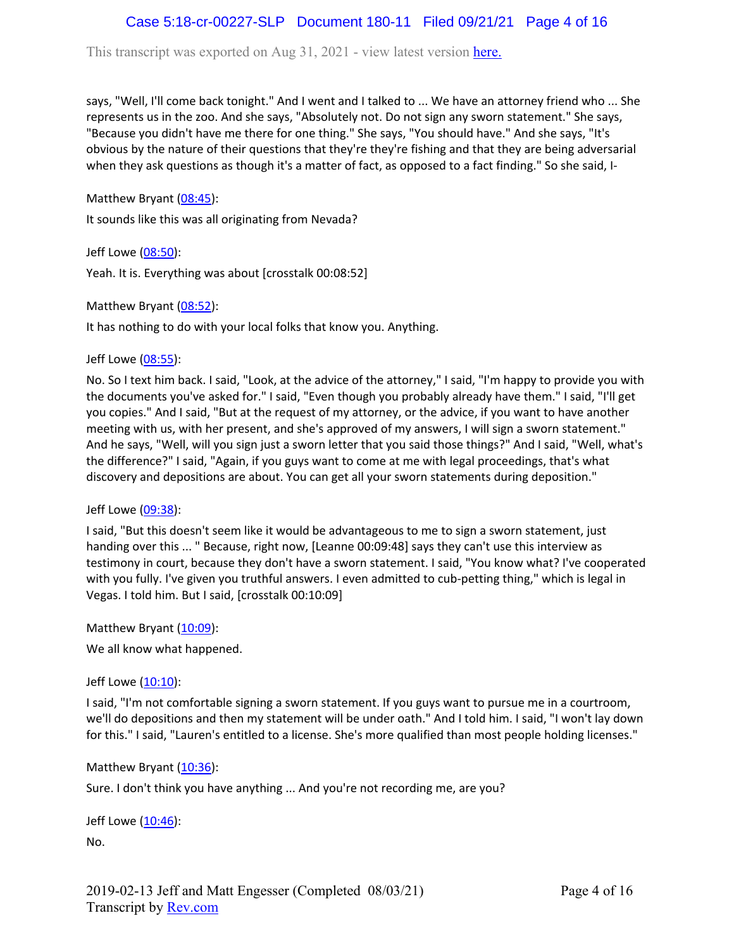# Case 5:18-cr-00227-SLP Document 180-11 Filed 09/21/21 Page 4 of 16

This transcript was exported on Aug 31, 2021 - view latest version [here.](https://www.rev.com/transcript-editor/Edit?token=4mO5ZsIvQHh7vC_JD3HCcVAx43sogecZ4KcDj5SY2EgU0n2j0tv6N0SOYbHFgzid9cJ5dHSW6zKV1BAVKjyK1rloiqE&loadFrom=DocumentHeaderDeepLink)

says, "Well, I'll come back tonight." And I went and I talked to ... We have an attorney friend who ... She represents us in the zoo. And she says, "Absolutely not. Do not sign any sworn statement." She says, "Because you didn't have me there for one thing." She says, "You should have." And she says, "It's obvious by the nature of their questions that they're they're fishing and that they are being adversarial when they ask questions as though it's a matter of fact, as opposed to a fact finding." So she said, I-

Matthew Bryant ([08:45](https://www.rev.com/transcript-editor/Edit?token=Jzkx0ylvrMYcyz4T6Pa_HcRv8GP2_DMFTMmWMwlFhSr4svn8Jr363SdE2ymJ6bNSpTH36FRyGmb_w9sJz6CfE6v1ELY&loadFrom=DocumentDeeplink&ts=525.03)):

It sounds like this was all originating from Nevada?

Jeff Lowe ([08:50](https://www.rev.com/transcript-editor/Edit?token=wB6WlM2Jumpz5uSNExWEdcPlaeuY2PD5CkL7e7Y2oUhZgG6Fu3PiXBPbRtN9VF_Fi02E-uN9SVSAa5cbR0nH4X4oxAQ&loadFrom=DocumentDeeplink&ts=530.52)): Yeah. It is. Everything was about [crosstalk 00:08:52]

Matthew Bryant ([08:52](https://www.rev.com/transcript-editor/Edit?token=iDIwatrr1i3F4G0oopfH6b2a7dBnEwgDrmi-N6kM6_sw1Gfr21Bx1mrernvynOIgKc5eF4viFWs3_lBTCgKsBD_a0yo&loadFrom=DocumentDeeplink&ts=532.37)):

It has nothing to do with your local folks that know you. Anything.

Jeff Lowe ([08:55](https://www.rev.com/transcript-editor/Edit?token=kV0NZQ_TVfXUnMeAIMhXBgUTk5ISqJ4_s43whGL3xFQsOjCBRrx1Jho-EbaiAjXhTxcmrka_TP6Wp0Qd0vtry53teIw&loadFrom=DocumentDeeplink&ts=535.23)):

No. So I text him back. I said, "Look, at the advice of the attorney," I said, "I'm happy to provide you with the documents you've asked for." I said, "Even though you probably already have them." I said, "I'll get you copies." And I said, "But at the request of my attorney, or the advice, if you want to have another meeting with us, with her present, and she's approved of my answers, I will sign a sworn statement." And he says, "Well, will you sign just a sworn letter that you said those things?" And I said, "Well, what's the difference?" I said, "Again, if you guys want to come at me with legal proceedings, that's what discovery and depositions are about. You can get all your sworn statements during deposition."

Jeff Lowe ([09:38](https://www.rev.com/transcript-editor/Edit?token=octNCdaqVSxM0R84_NazIuzl3hEjXbo7h1kEgZ8MBr4XrFEWyfnWvACnPdF871DsDy6Rb533YtFhD4nu26Ams_FA5eU&loadFrom=DocumentDeeplink&ts=578.3)):

I said, "But this doesn't seem like it would be advantageous to me to sign a sworn statement, just handing over this ... " Because, right now, [Leanne 00:09:48] says they can't use this interview as testimony in court, because they don't have a sworn statement. I said, "You know what? I've cooperated with you fully. I've given you truthful answers. I even admitted to cub-petting thing," which is legal in Vegas. I told him. But I said, [crosstalk 00:10:09]

Matthew Bryant ([10:09](https://www.rev.com/transcript-editor/Edit?token=R2vFpi0QiLbLfcqX4Tr9JfskOBeiNuwHW5qUIbOImmGxZw_SLOQCbRcQCyXWntjlHfb9pjKyAYU110_b4p3GsXp4w5g&loadFrom=DocumentDeeplink&ts=609.26)):

We all know what happened.

Jeff Lowe ([10:10](https://www.rev.com/transcript-editor/Edit?token=EfJVKn-IaVZQXzKG1XGuVIbBkpdFIED-HdL8ahnl8PTH-9_CwcoUce6tSqYVIGuTqDa1RgCxmNfI6KrW3957yZqUbRo&loadFrom=DocumentDeeplink&ts=610.6)):

I said, "I'm not comfortable signing a sworn statement. If you guys want to pursue me in a courtroom, we'll do depositions and then my statement will be under oath." And I told him. I said, "I won't lay down for this." I said, "Lauren's entitled to a license. She's more qualified than most people holding licenses."

### Matthew Bryant ([10:36](https://www.rev.com/transcript-editor/Edit?token=wyCaDvgRN2pMMVKOFmNzeAGe4MUL2I_h0PW0JercVhcxz82bXgCUBzUzOUdsxwicWmYHvhJkDcaWZk816aoPPA45J_M&loadFrom=DocumentDeeplink&ts=636.3)):

Sure. I don't think you have anything ... And you're not recording me, are you?

Jeff Lowe ([10:46](https://www.rev.com/transcript-editor/Edit?token=QUtDvVWDrHgz4yKLzvgqahWcI6LfDLtVAG7Yey1UPqYu3A-ImJWP5Cl3m7mT7sumCkQNUHxzUwu1Hd4kmh7hO4umMMY&loadFrom=DocumentDeeplink&ts=646.6)): No.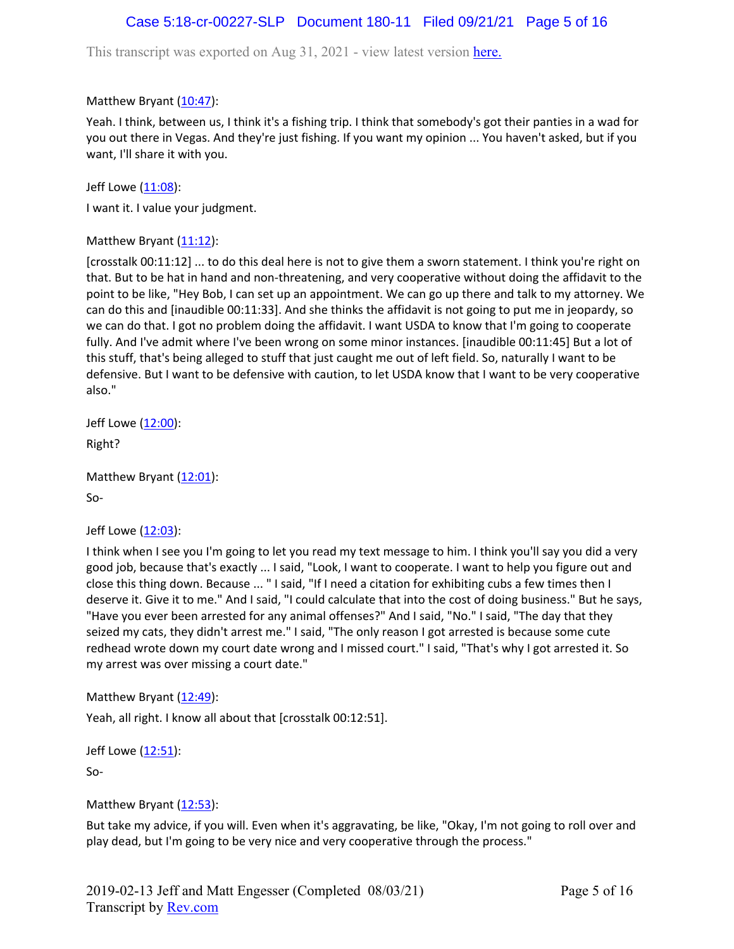# Case 5:18-cr-00227-SLP Document 180-11 Filed 09/21/21 Page 5 of 16

This transcript was exported on Aug 31, 2021 - view latest version [here.](https://www.rev.com/transcript-editor/Edit?token=4mO5ZsIvQHh7vC_JD3HCcVAx43sogecZ4KcDj5SY2EgU0n2j0tv6N0SOYbHFgzid9cJ5dHSW6zKV1BAVKjyK1rloiqE&loadFrom=DocumentHeaderDeepLink)

Matthew Bryant ([10:47](https://www.rev.com/transcript-editor/Edit?token=c3-44L70dXkeYDG8nVsEbz1vCwbXdrYhYIRKqC_N9iX0G5BXaznTrTdaWYa9FGkD7BYUjnzRgUc40d1eJaGOooYSrCU&loadFrom=DocumentDeeplink&ts=647.32)):

Yeah. I think, between us, I think it's a fishing trip. I think that somebody's got their panties in a wad for you out there in Vegas. And they're just fishing. If you want my opinion ... You haven't asked, but if you want, I'll share it with you.

Jeff Lowe ([11:08](https://www.rev.com/transcript-editor/Edit?token=TgQ8YhKMH5sdz4ZWG2OO15-7I4b6BvBKJKyjHLuuGxpSWY6SKv5qj2hInoKlOlSIv2mDHbhIMImL92yk38FtM_iwXp8&loadFrom=DocumentDeeplink&ts=668.04)):

I want it. I value your judgment.

Matthew Bryant  $(11:12)$  $(11:12)$  $(11:12)$ :

[crosstalk 00:11:12] ... to do this deal here is not to give them a sworn statement. I think you're right on that. But to be hat in hand and non-threatening, and very cooperative without doing the affidavit to the point to be like, "Hey Bob, I can set up an appointment. We can go up there and talk to my attorney. We can do this and [inaudible 00:11:33]. And she thinks the affidavit is not going to put me in jeopardy, so we can do that. I got no problem doing the affidavit. I want USDA to know that I'm going to cooperate fully. And I've admit where I've been wrong on some minor instances. [inaudible 00:11:45] But a lot of this stuff, that's being alleged to stuff that just caught me out of left field. So, naturally I want to be defensive. But I want to be defensive with caution, to let USDA know that I want to be very cooperative also."

Jeff Lowe ([12:00](https://www.rev.com/transcript-editor/Edit?token=6qLKd4cnRhw2-77WvLl8jBWb8oAadYqm293A9YFl5aMIquEMuH7WnEojr3rOlPs9hjVVUhY6fyYiU4GjhUCQ123Axsk&loadFrom=DocumentDeeplink&ts=720.77)):

Right?

```
12:01):
So-
```
Jeff Lowe ([12:03](https://www.rev.com/transcript-editor/Edit?token=6_6_TVVpqBxFG0CCegbyYIfXaQdciyV4e0f-n46k5DhG4tcv8qp-3EGoKCSW5VeJKB84oeXOxDoQhTgVWaDxI71ZrBQ&loadFrom=DocumentDeeplink&ts=723.3)):

I think when I see you I'm going to let you read my text message to him. I think you'll say you did a very good job, because that's exactly ... I said, "Look, I want to cooperate. I want to help you figure out and close this thing down. Because ... " I said, "If I need a citation for exhibiting cubs a few times then I deserve it. Give it to me." And I said, "I could calculate that into the cost of doing business." But he says, "Have you ever been arrested for any animal offenses?" And I said, "No." I said, "The day that they seized my cats, they didn't arrest me." I said, "The only reason I got arrested is because some cute redhead wrote down my court date wrong and I missed court." I said, "That's why I got arrested it. So my arrest was over missing a court date."

Matthew Bryant ([12:49](https://www.rev.com/transcript-editor/Edit?token=no4I4eWzTjzhhpE4Wf2zJ1p_aUNj7rMRP3GjLvJLA91GT3F-4fWmmZ3IHLwIuwp56TrE3pdX_XfD0XIYqnquxabWoe8&loadFrom=DocumentDeeplink&ts=769.25)):

Yeah, all right. I know all about that [crosstalk 00:12:51].

```
12:51):
```
So-

Matthew Bryant  $(12:53)$  $(12:53)$  $(12:53)$ :

But take my advice, if you will. Even when it's aggravating, be like, "Okay, I'm not going to roll over and play dead, but I'm going to be very nice and very cooperative through the process."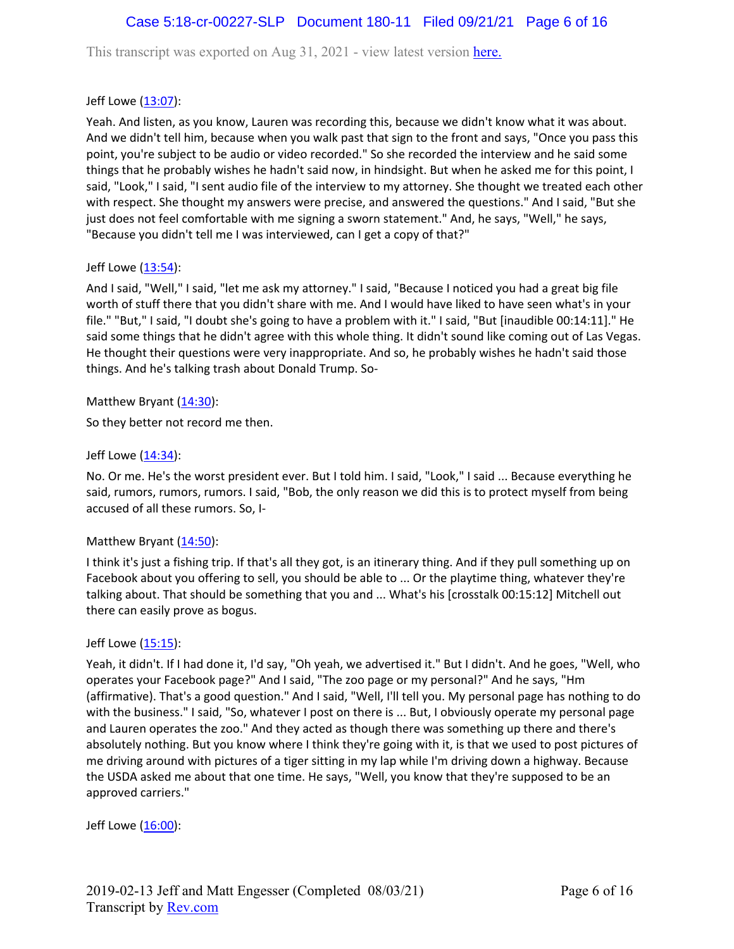# Case 5:18-cr-00227-SLP Document 180-11 Filed 09/21/21 Page 6 of 16

This transcript was exported on Aug 31, 2021 - view latest version [here.](https://www.rev.com/transcript-editor/Edit?token=4mO5ZsIvQHh7vC_JD3HCcVAx43sogecZ4KcDj5SY2EgU0n2j0tv6N0SOYbHFgzid9cJ5dHSW6zKV1BAVKjyK1rloiqE&loadFrom=DocumentHeaderDeepLink)

### Jeff Lowe ([13:07](https://www.rev.com/transcript-editor/Edit?token=22PSdBW2yytY8623e2PLeooSvoU3GnorD-yHUUtp9LDJ2Uh-7W9oa_BKFlrnRBZPCtDd0vSby5xK_mO5MHnC0NXDJ7U&loadFrom=DocumentDeeplink&ts=787.95)):

Yeah. And listen, as you know, Lauren was recording this, because we didn't know what it was about. And we didn't tell him, because when you walk past that sign to the front and says, "Once you pass this point, you're subject to be audio or video recorded." So she recorded the interview and he said some things that he probably wishes he hadn't said now, in hindsight. But when he asked me for this point, I said, "Look," I said, "I sent audio file of the interview to my attorney. She thought we treated each other with respect. She thought my answers were precise, and answered the questions." And I said, "But she just does not feel comfortable with me signing a sworn statement." And, he says, "Well," he says, "Because you didn't tell me I was interviewed, can I get a copy of that?"

### Jeff Lowe  $(\underline{13:54})$  $(\underline{13:54})$  $(\underline{13:54})$ :

And I said, "Well," I said, "let me ask my attorney." I said, "Because I noticed you had a great big file worth of stuff there that you didn't share with me. And I would have liked to have seen what's in your file." "But," I said, "I doubt she's going to have a problem with it." I said, "But [inaudible 00:14:11]." He said some things that he didn't agree with this whole thing. It didn't sound like coming out of Las Vegas. He thought their questions were very inappropriate. And so, he probably wishes he hadn't said those things. And he's talking trash about Donald Trump. So-

### Matthew Bryant  $(14:30)$  $(14:30)$  $(14:30)$ :

So they better not record me then.

### Jeff Lowe ([14:34](https://www.rev.com/transcript-editor/Edit?token=2e3NluMBoiK3Oo6LNsYq3WutYG97hN_Eihb3ZuFumwzf-V0Jk9s3NpKPHV7xY_Wk3Cp-Cw6UrsyHMhVvE6cl2p6yr9k&loadFrom=DocumentDeeplink&ts=874.18)):

No. Or me. He's the worst president ever. But I told him. I said, "Look," I said ... Because everything he said, rumors, rumors, rumors. I said, "Bob, the only reason we did this is to protect myself from being accused of all these rumors. So, I-

### Matthew Bryant ([14:50](https://www.rev.com/transcript-editor/Edit?token=4hwculyaIJqT0OfsI4QNrIdP4PatxcglirwRzpua2CRAyMUTBjXSLqcVH-dO7Aq0pnVUQkG13aQ44OZ2p8vkxiOf5Ak&loadFrom=DocumentDeeplink&ts=890.94)):

I think it's just a fishing trip. If that's all they got, is an itinerary thing. And if they pull something up on Facebook about you offering to sell, you should be able to ... Or the playtime thing, whatever they're talking about. That should be something that you and ... What's his [crosstalk 00:15:12] Mitchell out there can easily prove as bogus.

#### Jeff Lowe ([15:15](https://www.rev.com/transcript-editor/Edit?token=n21CVvffZ1iu7IG7CZHjdENIMkrALKdsdN5eOpNpVOVP-8_hYf6-7lddsPnoVbs0IG3F1zyC-9O4XQD50lEBWKhdNmY&loadFrom=DocumentDeeplink&ts=915.15)):

Yeah, it didn't. If I had done it, I'd say, "Oh yeah, we advertised it." But I didn't. And he goes, "Well, who operates your Facebook page?" And I said, "The zoo page or my personal?" And he says, "Hm (affirmative). That's a good question." And I said, "Well, I'll tell you. My personal page has nothing to do with the business." I said, "So, whatever I post on there is ... But, I obviously operate my personal page and Lauren operates the zoo." And they acted as though there was something up there and there's absolutely nothing. But you know where I think they're going with it, is that we used to post pictures of me driving around with pictures of a tiger sitting in my lap while I'm driving down a highway. Because the USDA asked me about that one time. He says, "Well, you know that they're supposed to be an approved carriers."

Jeff Lowe ([16:00](https://www.rev.com/transcript-editor/Edit?token=bEhvxG00Wj00mtkx_PcrZP2eErVJB8vcF-BVDBE0hJCnUr6xbDWsvLsRO1xMzIQQQiWsWiRr0RVVu10GAUnPZ-k7Y2E&loadFrom=DocumentDeeplink&ts=960.28)):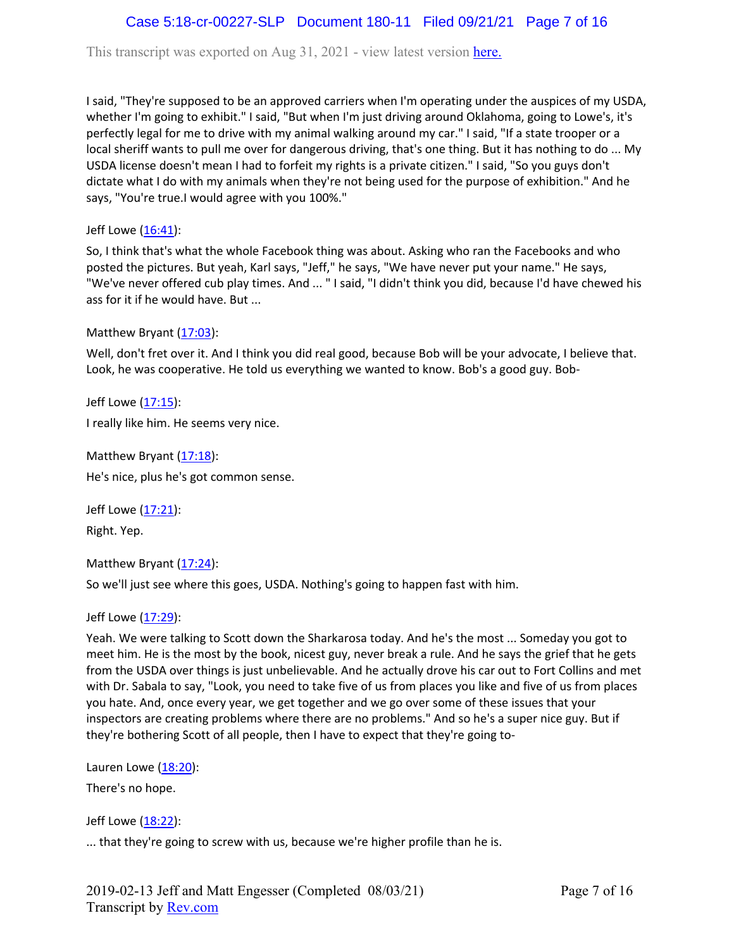# Case 5:18-cr-00227-SLP Document 180-11 Filed 09/21/21 Page 7 of 16

This transcript was exported on Aug 31, 2021 - view latest version [here.](https://www.rev.com/transcript-editor/Edit?token=4mO5ZsIvQHh7vC_JD3HCcVAx43sogecZ4KcDj5SY2EgU0n2j0tv6N0SOYbHFgzid9cJ5dHSW6zKV1BAVKjyK1rloiqE&loadFrom=DocumentHeaderDeepLink)

I said, "They're supposed to be an approved carriers when I'm operating under the auspices of my USDA, whether I'm going to exhibit." I said, "But when I'm just driving around Oklahoma, going to Lowe's, it's perfectly legal for me to drive with my animal walking around my car." I said, "If a state trooper or a local sheriff wants to pull me over for dangerous driving, that's one thing. But it has nothing to do ... My USDA license doesn't mean I had to forfeit my rights is a private citizen." I said, "So you guys don't dictate what I do with my animals when they're not being used for the purpose of exhibition." And he says, "You're true.I would agree with you 100%."

Jeff Lowe  $(16:41)$  $(16:41)$  $(16:41)$ :

So, I think that's what the whole Facebook thing was about. Asking who ran the Facebooks and who posted the pictures. But yeah, Karl says, "Jeff," he says, "We have never put your name." He says, "We've never offered cub play times. And ... " I said, "I didn't think you did, because I'd have chewed his ass for it if he would have. But ...

Matthew Bryant  $(17:03)$  $(17:03)$  $(17:03)$ :

Well, don't fret over it. And I think you did real good, because Bob will be your advocate, I believe that. Look, he was cooperative. He told us everything we wanted to know. Bob's a good guy. Bob-

Jeff Lowe ([17:15](https://www.rev.com/transcript-editor/Edit?token=0gnJVnt-uRoBVMthqW3FhZp8fdwdpMO0DpBcgIeW91hWiKyJiVTUItbzn3dGSToF7tn-iONPDZQLxI-XHtzDy041HkQ&loadFrom=DocumentDeeplink&ts=1035.27)): I really like him. He seems very nice.

Matthew Bryant ([17:18](https://www.rev.com/transcript-editor/Edit?token=T5uhIlCTSYqKOuxDi4jPMq-egw1q3u_HFnlZ6bBbKaQYVVAttnJrifxqRcrDeQ18k5mXpWw1DSmr3dDpE-e-S1c4piI&loadFrom=DocumentDeeplink&ts=1038.24)): He's nice, plus he's got common sense.

Jeff Lowe ([17:21](https://www.rev.com/transcript-editor/Edit?token=OoPrqN8hbzcsqG_AjYDmW9Y8eIKkOA2u8Ua5UeQZadeRowqfJk4YiOesJzkOeogewVUjjw-LCLXCba8M7z3Z7AeLNEk&loadFrom=DocumentDeeplink&ts=1041.68)): Right. Yep.

Matthew Bryant  $(17:24)$  $(17:24)$  $(17:24)$ :

So we'll just see where this goes, USDA. Nothing's going to happen fast with him.

Jeff Lowe ([17:29](https://www.rev.com/transcript-editor/Edit?token=wg7ZFF2oMrBwyLH8-4et53ooiepqGu9p6h_yzK9SvfJFYbA0T3-XhdgIIZTH6KT-qgpPo42WYE1gO6lToiETG_BJOhg&loadFrom=DocumentDeeplink&ts=1049.31)):

Yeah. We were talking to Scott down the Sharkarosa today. And he's the most ... Someday you got to meet him. He is the most by the book, nicest guy, never break a rule. And he says the grief that he gets from the USDA over things is just unbelievable. And he actually drove his car out to Fort Collins and met with Dr. Sabala to say, "Look, you need to take five of us from places you like and five of us from places you hate. And, once every year, we get together and we go over some of these issues that your inspectors are creating problems where there are no problems." And so he's a super nice guy. But if they're bothering Scott of all people, then I have to expect that they're going to-

Lauren Lowe  $(18:20)$  $(18:20)$  $(18:20)$ :

There's no hope.

Jeff Lowe ([18:22](https://www.rev.com/transcript-editor/Edit?token=jhl1n2zJlLPoaRgWk1z5powD5gmXOuGF6t19tHP9rF4u8XIz59G7brQx1lUSGS1gstXM5HoBvSmGXGFOOliE9qKawmY&loadFrom=DocumentDeeplink&ts=1102.61)):

... that they're going to screw with us, because we're higher profile than he is.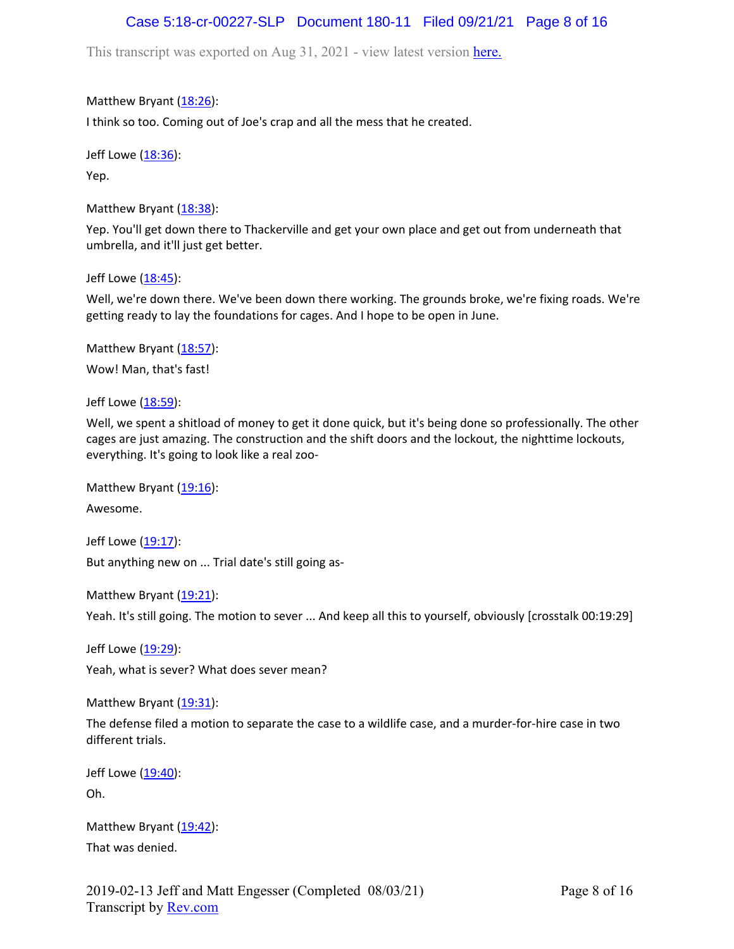# Case 5:18-cr-00227-SLP Document 180-11 Filed 09/21/21 Page 8 of 16

This transcript was exported on Aug 31, 2021 - view latest version [here.](https://www.rev.com/transcript-editor/Edit?token=4mO5ZsIvQHh7vC_JD3HCcVAx43sogecZ4KcDj5SY2EgU0n2j0tv6N0SOYbHFgzid9cJ5dHSW6zKV1BAVKjyK1rloiqE&loadFrom=DocumentHeaderDeepLink)

Matthew Bryant ([18:26](https://www.rev.com/transcript-editor/Edit?token=rnlcD3UW96l7SHbbBuCZQCV4b9C7be6i6Zb7iw6pzDWZmRdujfX-YNRC-Lrn8BdPYkD4zPBb0dvwbD7XPnClr9EB7WU&loadFrom=DocumentDeeplink&ts=1106.49)):

I think so too. Coming out of Joe's crap and all the mess that he created.

Jeff Lowe ([18:36](https://www.rev.com/transcript-editor/Edit?token=MsWL8oKeNCj_K0HfBQ6diWo8JfIOSg6a9IrN8RYjivf2urnnVaRh8WTR6LyvpO_aVZXse5PqmXqZ0KlyHb1cgOsIhqg&loadFrom=DocumentDeeplink&ts=1116.13)):

Yep.

Matthew Bryant  $(18:38)$  $(18:38)$  $(18:38)$ :

Yep. You'll get down there to Thackerville and get your own place and get out from underneath that umbrella, and it'll just get better.

Jeff Lowe ([18:45](https://www.rev.com/transcript-editor/Edit?token=_j4LwdxNXzAtpbGJu6NwrsMHljb8BT7ZaDzHrIYU_8rmYO8VaxcwMS0ooVhZPHXWd9bXscQ4yfcayHYAkMDeXxnoEDI&loadFrom=DocumentDeeplink&ts=1125.77)):

Well, we're down there. We've been down there working. The grounds broke, we're fixing roads. We're getting ready to lay the foundations for cages. And I hope to be open in June.

Matthew Bryant ([18:57](https://www.rev.com/transcript-editor/Edit?token=2C49AA-bBl3Z_dFi7lP4PAwY0fw2B4APiGswlZ2JBpbzX8WZMGmMeHHAf-obv5Du9fSfAuxV_LA3yc1P8gFGludDMlI&loadFrom=DocumentDeeplink&ts=1137.04)): Wow! Man, that's fast!

Jeff Lowe ([18:59](https://www.rev.com/transcript-editor/Edit?token=9LRszT6A4imk8YXT7r5k17ZVE2ZN7T7RPM9htXvwnflJB6fKUc7QvzPQhprnCaIKJAn_Fs7rW57MLuyldMXermc3X78&loadFrom=DocumentDeeplink&ts=1139.85)):

Well, we spent a shitload of money to get it done quick, but it's being done so professionally. The other cages are just amazing. The construction and the shift doors and the lockout, the nighttime lockouts, everything. It's going to look like a real zoo-

Matthew Bryant  $(19:16)$  $(19:16)$  $(19:16)$ :

Awesome.

Jeff Lowe ([19:17](https://www.rev.com/transcript-editor/Edit?token=Z2-pdWOBuYZ3sriDK_3kMkLS5t51FvnkL-jAsH-gS8YK8vhCs4jsP-f1dMJegPf5iwzCyPSfRVJiNdRhWZ71qsRFMK8&loadFrom=DocumentDeeplink&ts=1157.14)): But anything new on ... Trial date's still going as-

Matthew Bryant ([19:21](https://www.rev.com/transcript-editor/Edit?token=qXJ9aPwfQwmmIKJJIyT1nTRjDQd7m3D4ADUA8wd5kx1FTvySiskItGwKw3GjG1E-cDSJpN0BAvH84dqcHcy3LUuzD7Q&loadFrom=DocumentDeeplink&ts=1161.6)):

Yeah. It's still going. The motion to sever ... And keep all this to yourself, obviously [crosstalk 00:19:29]

Jeff Lowe ([19:29](https://www.rev.com/transcript-editor/Edit?token=-_fEw3dHalZZ28X-24_mt40bDmCbW4Khu0Xe821FrqktIyvlyBR4J_QlmhmsVZFqrcVt_u2EoytmLm_S-oI3mtvzBLc&loadFrom=DocumentDeeplink&ts=1169.34)):

Yeah, what is sever? What does sever mean?

Matthew Bryant  $(19:31)$  $(19:31)$  $(19:31)$ :

The defense filed a motion to separate the case to a wildlife case, and a murder-for-hire case in two different trials.

Jeff Lowe ([19:40](https://www.rev.com/transcript-editor/Edit?token=d8Ej63m_FkNBx4sB1t5cqlT76chX6AUYPxu-QtWLKn0AENnx0DMdMwgenPbbW3YIHc7tj-SR_emT13lNaog_u2yV9FQ&loadFrom=DocumentDeeplink&ts=1180.33)): Oh.

Matthew Bryant ([19:42](https://www.rev.com/transcript-editor/Edit?token=qNsNmSp4tUf-BkZVSPhE19wdKeEG9Dg0EeRix9gzVEvrN6rdDVAhn747QLM9tyh6yvHrP86ZUg9AQaeEsGdEBXwxIxo&loadFrom=DocumentDeeplink&ts=1182.41)): That was denied.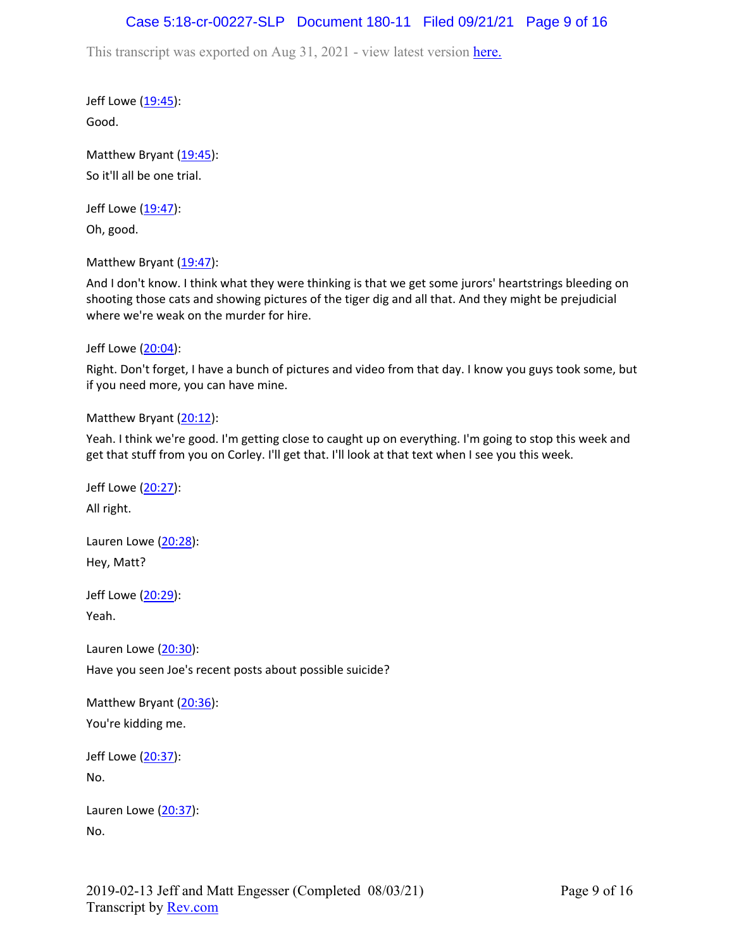## Case 5:18-cr-00227-SLP Document 180-11 Filed 09/21/21 Page 9 of 16

This transcript was exported on Aug 31, 2021 - view latest version [here.](https://www.rev.com/transcript-editor/Edit?token=4mO5ZsIvQHh7vC_JD3HCcVAx43sogecZ4KcDj5SY2EgU0n2j0tv6N0SOYbHFgzid9cJ5dHSW6zKV1BAVKjyK1rloiqE&loadFrom=DocumentHeaderDeepLink)

Jeff Lowe ([19:45](https://www.rev.com/transcript-editor/Edit?token=H6LAPXL5p7Py5awGu3LUkk_MPMaqZyHwSqtRx_wYrwGP_Hc6cK52vKPrttnGo0z0Z58-GoegxW4J6uQuQdCUAsTT5Zc&loadFrom=DocumentDeeplink&ts=1185.14)): Good.

Matthew Bryant  $(19:45)$  $(19:45)$  $(19:45)$ : So it'll all be one trial.

Jeff Lowe ([19:47](https://www.rev.com/transcript-editor/Edit?token=qtYUj0UeFkCl_LUxiKPG06hMk3EkX_tio2gzF1bzEsf_o_T622NdMNF1rME2QDvD2HvRPlzXuUwsEbYaE3xyefbtNoM&loadFrom=DocumentDeeplink&ts=1187.41)):

Oh, good.

Matthew Bryant ([19:47](https://www.rev.com/transcript-editor/Edit?token=UXZfa8r5QlAS7T__hOYB8zx_nMgN1tELm7snnR8OeSdy-iXUFoCs-y02utvaNYwjqt9Eyx_PX7IfXQP0KkFD2o69Hsw&loadFrom=DocumentDeeplink&ts=1187.45)):

And I don't know. I think what they were thinking is that we get some jurors' heartstrings bleeding on shooting those cats and showing pictures of the tiger dig and all that. And they might be prejudicial where we're weak on the murder for hire.

Jeff Lowe ([20:04](https://www.rev.com/transcript-editor/Edit?token=hj90MDgaIIm9sYXtYbf9f9LTJOT1KmmmLi119GAEA3o7kzInyvwtgwXq5JkDvawACWj_WU-Iv-QQOtax2j36v7FS2qc&loadFrom=DocumentDeeplink&ts=1204.41)):

Right. Don't forget, I have a bunch of pictures and video from that day. I know you guys took some, but if you need more, you can have mine.

Matthew Bryant ([20:12](https://www.rev.com/transcript-editor/Edit?token=O9F3x4ffaHGuf4i9wrtU7R1DT5nUf--UFzPH4gaw7tNs-Kw6trzj6wXxvYXxigf4o6hR2A3vR17qvEFs1ZX-6xI_Eb8&loadFrom=DocumentDeeplink&ts=1212.81)):

Yeah. I think we're good. I'm getting close to caught up on everything. I'm going to stop this week and get that stuff from you on Corley. I'll get that. I'll look at that text when I see you this week.

Jeff Lowe ([20:27](https://www.rev.com/transcript-editor/Edit?token=5fTh8u6MWzy7XvCtlflCZ9N9bg_0ygQjQVFHqvGvxOaj7vYDewJswmKQqccopZc110LEk1Yu2SoG6fP19EEnaFNziq4&loadFrom=DocumentDeeplink&ts=1227.68)): All right. Lauren Lowe ([20:28](https://www.rev.com/transcript-editor/Edit?token=BFPBw_1XCJPWms2FOGcG22Z7GRbv60lhYvYpn9e1b8eJW5UcG_h-8VjjLWZ0XrGxYTmTwwDosKiglUGcfViXKSexDSE&loadFrom=DocumentDeeplink&ts=1228.39)): Hey, Matt? Jeff Lowe ([20:29](https://www.rev.com/transcript-editor/Edit?token=iDPtWWThmDS8lgdF6LmKRuao3_EFtV78ipfC7WrrJdirmsIwetuQrlYJwsNvj9QGJO7eIsBzJxU0N6_aO3DRUSc18D4&loadFrom=DocumentDeeplink&ts=1229.59)): Yeah. Lauren Lowe ([20:30](https://www.rev.com/transcript-editor/Edit?token=DvT2QZG1SpKQlFPCWPqffy4kLxKF79X8Ux8e-rOkGsYfM06TnAJMWf3pTbZcTRsVn_9SwV0FoagMmNMqAdW34aTeUKQ&loadFrom=DocumentDeeplink&ts=1230.43)): Have you seen Joe's recent posts about possible suicide? Matthew Bryant ([20:36](https://www.rev.com/transcript-editor/Edit?token=DtD2hZ2wJ71IEO9Iz4QxPDoBjy-VA1kP67R9M5KVho-_MzwiNrkWozqymSwm-g2FBVUuUlNPB7THpiLLGqvp136UeE4&loadFrom=DocumentDeeplink&ts=1236.42)): You're kidding me. Jeff Lowe ([20:37](https://www.rev.com/transcript-editor/Edit?token=XHV-YL_pNoP4EWezUZwBYYxUVwYGU7ThlnfJk1_j-jVFC0przf_R7W-gJnilWQAH5-J-vD-4yg4Wof_dpy4pHKlK0Jw&loadFrom=DocumentDeeplink&ts=1237.28)): No. Lauren Lowe ([20:37](https://www.rev.com/transcript-editor/Edit?token=374lclw7bdprJgWpxOzFjdEBchD-Sx6ZHPXWOpo5oglme-tSPHQjZuyaqasw-c0nfq9arG-oIirghI0pIT0iwBJLDzk&loadFrom=DocumentDeeplink&ts=1237.39)):

No.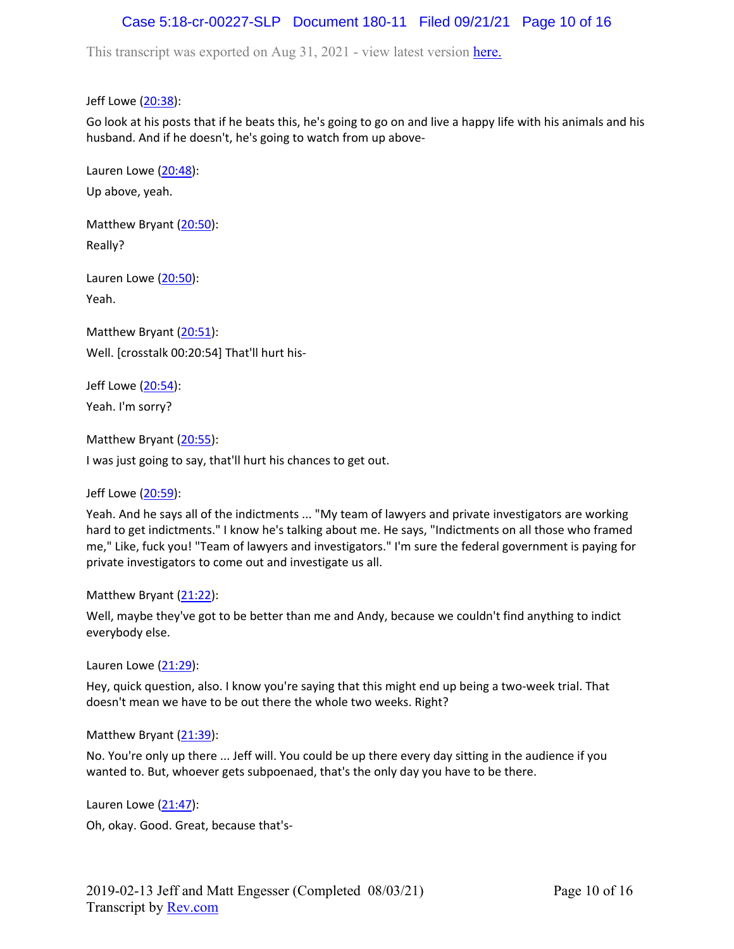# Case 5:18-cr-00227-SLP Document 180-11 Filed 09/21/21 Page 10 of 16

This transcript was exported on Aug 31, 2021 - view latest version [here.](https://www.rev.com/transcript-editor/Edit?token=4mO5ZsIvQHh7vC_JD3HCcVAx43sogecZ4KcDj5SY2EgU0n2j0tv6N0SOYbHFgzid9cJ5dHSW6zKV1BAVKjyK1rloiqE&loadFrom=DocumentHeaderDeepLink)

Jeff Lowe ([20:38](https://www.rev.com/transcript-editor/Edit?token=ySy6sC2rsT5AvsJWAxt3CR68Yc48JA2PGooXZJFGtEjeZikP1voQToFjzJ6IFrOFrAZ5Tvpnt3YVA0R_9VTaVbYmyMI&loadFrom=DocumentDeeplink&ts=1238.59)):

Go look at his posts that if he beats this, he's going to go on and live a happy life with his animals and his husband. And if he doesn't, he's going to watch from up above-

Lauren Lowe ([20:48](https://www.rev.com/transcript-editor/Edit?token=KJJDC3DpL2UYgYVUUE2vPFQ93-0PNNbfKSnt5hZw7mAG1jNpH4IkDMrlDlcdHS0-GCzcYsJe36ANRottY-aWsJ1HKgA&loadFrom=DocumentDeeplink&ts=1248.31)): Up above, yeah.

Matthew Bryant ([20:50](https://www.rev.com/transcript-editor/Edit?token=35tJWWqqiaVhNtCcQxcg0R7gj1ocrpW-WhGgtKkDDLqwgAPwshxmfiarVkOe88yYU1Xcyrs-3BpgQsZ6buiZqCYNa60&loadFrom=DocumentDeeplink&ts=1250.18)): Really?

Lauren Lowe ([20:50](https://www.rev.com/transcript-editor/Edit?token=CzSG6Sy1VrLvR5TX8QxnbJUQcwKhrGZ-ERVgWesdiF6jFdkukUx1P8UivLYnnd52ldlu2RBb7Mxiq_QTm_Nr7yx17vg&loadFrom=DocumentDeeplink&ts=1250.93)): Yeah.

Matthew Bryant ([20:51](https://www.rev.com/transcript-editor/Edit?token=7Vf2jTZeBK2DtwxxbsAAlWrcfDgUnBStJLZrAfyKiGZa79LYtd7SqYxJtZq-wpZMhf-aKOtSETIBj7oDrH8z82U2JFs&loadFrom=DocumentDeeplink&ts=1251.68)): Well. [crosstalk 00:20:54] That'll hurt his-

Jeff Lowe ([20:54](https://www.rev.com/transcript-editor/Edit?token=kJX6ueFSoDKKNbRXmXyyup7aIpmjs4fPaa9v2Bx53aAEwORGCrNGG46xQLlaf94W0G5HVDn_MXrDWRirqHA3-Fodmls&loadFrom=DocumentDeeplink&ts=1254.48)): Yeah. I'm sorry?

Matthew Bryant ([20:55](https://www.rev.com/transcript-editor/Edit?token=2W3vUbQIhseRVVErTJozvBbVOBEyPC8WyKJwOFgRhfM1WXSGmxIisZ51KLmOhoF2DzRlGi88O8IcJKKyaB1Slgt7RV0&loadFrom=DocumentDeeplink&ts=1255.97)):

I was just going to say, that'll hurt his chances to get out.

Jeff Lowe ([20:59](https://www.rev.com/transcript-editor/Edit?token=RnKCmE_QEgt0gJTocP1laNi1LN3SefloznJQI_tCd1gLe85cm30CNDn8STJLwO_n9hdhTd5KIUO2G_5xrfoyrSx6brw&loadFrom=DocumentDeeplink&ts=1259.65)):

Yeah. And he says all of the indictments ... "My team of lawyers and private investigators are working hard to get indictments." I know he's talking about me. He says, "Indictments on all those who framed me," Like, fuck you! "Team of lawyers and investigators." I'm sure the federal government is paying for private investigators to come out and investigate us all.

Matthew Bryant ([21:22](https://www.rev.com/transcript-editor/Edit?token=nOeXkRlx37Q4gNAjWdto5tCEcNZrHSC0ggpYYgFmgA76QZBLFppH0MTE_h5C1YynQ8nxeAx8L3zFbwZe8tDW0CWv_kk&loadFrom=DocumentDeeplink&ts=1282.69)):

Well, maybe they've got to be better than me and Andy, because we couldn't find anything to indict everybody else.

Lauren Lowe  $(21:29)$  $(21:29)$  $(21:29)$ :

Hey, quick question, also. I know you're saying that this might end up being a two-week trial. That doesn't mean we have to be out there the whole two weeks. Right?

Matthew Bryant ([21:39](https://www.rev.com/transcript-editor/Edit?token=yKHHMEuryGxY_VSYfEStX8WP0lracM7ncvsD-SVNzAycZCnUPWdGNJYNAKKQLExEGvAi0sBEdGRkDB_X29H4mPJhUEE&loadFrom=DocumentDeeplink&ts=1299.21)):

No. You're only up there ... Jeff will. You could be up there every day sitting in the audience if you wanted to. But, whoever gets subpoenaed, that's the only day you have to be there.

Lauren Lowe ([21:47](https://www.rev.com/transcript-editor/Edit?token=spcJT28uIOCkhnJLu05ViHdn2asPymddcx_xI_KJGA4-OFJqMaBGeMQOL8GCvsWSG09SyAjLqy4b3znKlyUkYXFp0ow&loadFrom=DocumentDeeplink&ts=1307.01)):

Oh, okay. Good. Great, because that's-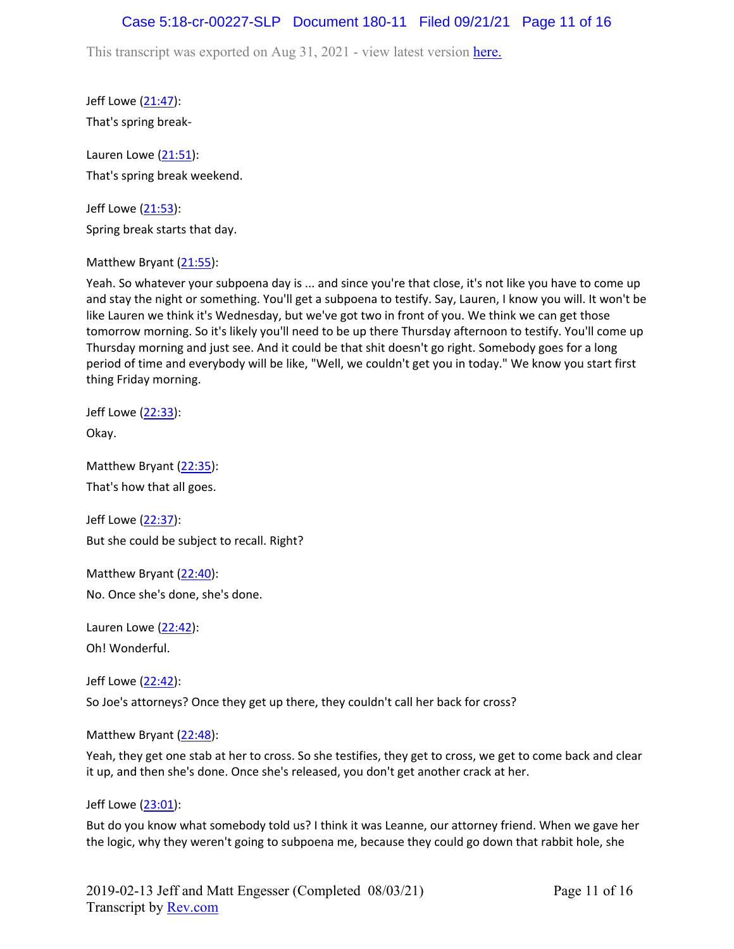### Case 5:18-cr-00227-SLP Document 180-11 Filed 09/21/21 Page 11 of 16

This transcript was exported on Aug 31, 2021 - view latest version [here.](https://www.rev.com/transcript-editor/Edit?token=4mO5ZsIvQHh7vC_JD3HCcVAx43sogecZ4KcDj5SY2EgU0n2j0tv6N0SOYbHFgzid9cJ5dHSW6zKV1BAVKjyK1rloiqE&loadFrom=DocumentHeaderDeepLink)

Jeff Lowe ([21:47](https://www.rev.com/transcript-editor/Edit?token=OcWQeaGUBzmzMDkF2miN-lhmi-Xbx5vBHjvAsCz_np9vQrfERiFANP4qgKK5xAOwY1er3Vw1E1HRpm2ulmWa0w8gxGI&loadFrom=DocumentDeeplink&ts=1307.61)): That's spring break-

Lauren Lowe  $(21:51)$  $(21:51)$  $(21:51)$ : That's spring break weekend.

Jeff Lowe ([21:53](https://www.rev.com/transcript-editor/Edit?token=px_K82fnCB34FCaNSnfjTN65quqiORt7rIVdvhAKEIsVVvZu9V_apg8YIhzejNVpF0_udmVTpaD2KrbvcBvnyuKMmbo&loadFrom=DocumentDeeplink&ts=1313.34)): Spring break starts that day.

Matthew Bryant ([21:55](https://www.rev.com/transcript-editor/Edit?token=8bd-e4DuGIIPODo_ryHpLpfyM4oT-2zRh5dhLbSgbEfQySrAfckqEmELkfzuDZ_oPWS5-GkMRD2O-N-N96zl3AOttqI&loadFrom=DocumentDeeplink&ts=1315.35)):

Yeah. So whatever your subpoena day is ... and since you're that close, it's not like you have to come up and stay the night or something. You'll get a subpoena to testify. Say, Lauren, I know you will. It won't be like Lauren we think it's Wednesday, but we've got two in front of you. We think we can get those tomorrow morning. So it's likely you'll need to be up there Thursday afternoon to testify. You'll come up Thursday morning and just see. And it could be that shit doesn't go right. Somebody goes for a long period of time and everybody will be like, "Well, we couldn't get you in today." We know you start first thing Friday morning.

Jeff Lowe ([22:33](https://www.rev.com/transcript-editor/Edit?token=sZpqB2MNM_tdf4w-IhUm9zkIVFQ-54wPpDms0GVD_aH3kkQ62WszmoQakoHtb3Xs_dyH5LEV8ADyRIBWqZReIB4shHM&loadFrom=DocumentDeeplink&ts=1353.63)): Okay.

Matthew Bryant ([22:35](https://www.rev.com/transcript-editor/Edit?token=FPpWkmbVuo219NtqfVig9QjpMEMMAr0cnCEl_IdQeWRaxQSdCAvM_RQumRQx0iT_tS9awRSsC8gZ6d2JLk31pjqLwTQ&loadFrom=DocumentDeeplink&ts=1355.73)): That's how that all goes.

Jeff Lowe ([22:37](https://www.rev.com/transcript-editor/Edit?token=DIIipKMWDr4AfCl83lMQQoHiJXaN11tzQ3UCoigQBWWKHS046Yf1zqOpa8A4j9kUXLvkIYHfVmfRutFRhLqXDen99Sc&loadFrom=DocumentDeeplink&ts=1357.5)): But she could be subject to recall. Right?

Matthew Bryant ([22:40](https://www.rev.com/transcript-editor/Edit?token=GiFRBTFO8JfPrBdcIHEcI40H95o7B5U7TQOXzI2xluIpl59ituCmCgB3dVgOYbIs8MeuObe_tIylaG75OQN9pN8x6Qc&loadFrom=DocumentDeeplink&ts=1360.79)): No. Once she's done, she's done.

Lauren Lowe ([22:42](https://www.rev.com/transcript-editor/Edit?token=wYJxKBtGxuwsSiuaaHLX3clIYqVtUczFhKgJ3M7J-ZIyHal7Wmpu6JkazqnpgoTtyC6dcv4rcNYcQMx8t2fMPvmdfeE&loadFrom=DocumentDeeplink&ts=1362.19)): Oh! Wonderful.

Jeff Lowe ([22:42](https://www.rev.com/transcript-editor/Edit?token=4UP4rlzYb7ea76R1hCmFIxfVC0UIqMFI091arMQddzugDE4Ib5kOTP5kij0KMVtLK0mgyw7CAtGSFK1ibkaQABmmhH0&loadFrom=DocumentDeeplink&ts=1362.86)): So Joe's attorneys? Once they get up there, they couldn't call her back for cross?

Matthew Bryant ([22:48](https://www.rev.com/transcript-editor/Edit?token=wPNrrFdlq1K6_lNr9d21_j4JhJ7VcR3mvdEiaD4SSC08jG2rSCPtmwlw0CMNwRyDDaxrTdCRP5lRW0-KUoLGVdn6Q_Y&loadFrom=DocumentDeeplink&ts=1368.21)):

Yeah, they get one stab at her to cross. So she testifies, they get to cross, we get to come back and clear it up, and then she's done. Once she's released, you don't get another crack at her.

Jeff Lowe ([23:01](https://www.rev.com/transcript-editor/Edit?token=FEferse57Pi7iFfar3K3qw22sU5qkv4R_Ss6bPovUykLLt3GOrAP2uXxYdHk5qd3vxPxV-CqPZd1BJeo5jg9eMoTX1Q&loadFrom=DocumentDeeplink&ts=1381.54)):

But do you know what somebody told us? I think it was Leanne, our attorney friend. When we gave her the logic, why they weren't going to subpoena me, because they could go down that rabbit hole, she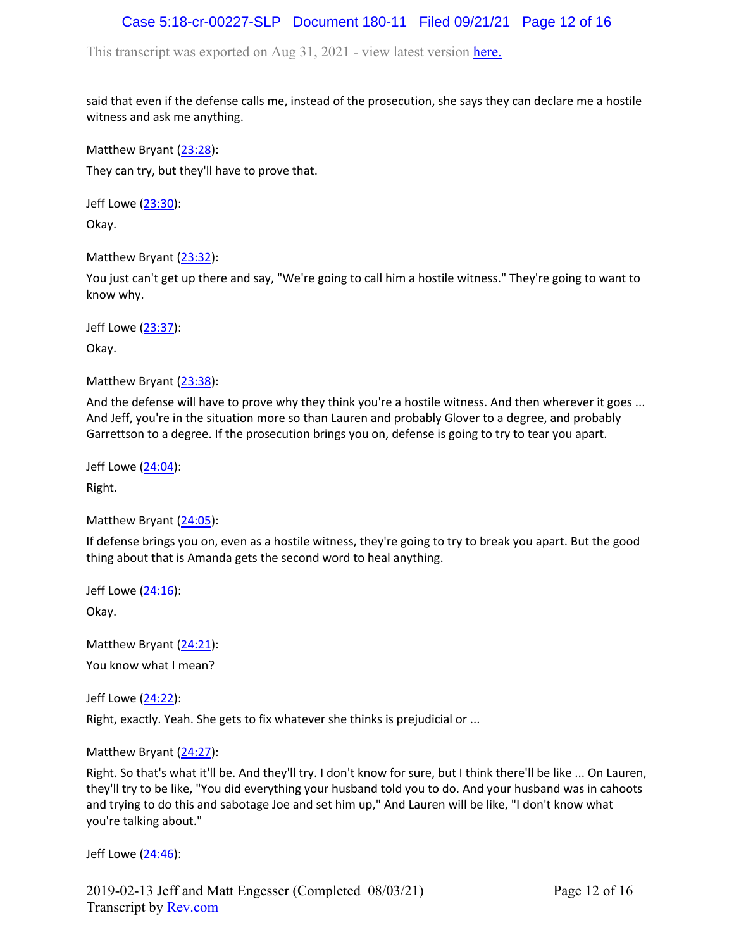# Case 5:18-cr-00227-SLP Document 180-11 Filed 09/21/21 Page 12 of 16

This transcript was exported on Aug 31, 2021 - view latest version [here.](https://www.rev.com/transcript-editor/Edit?token=4mO5ZsIvQHh7vC_JD3HCcVAx43sogecZ4KcDj5SY2EgU0n2j0tv6N0SOYbHFgzid9cJ5dHSW6zKV1BAVKjyK1rloiqE&loadFrom=DocumentHeaderDeepLink)

said that even if the defense calls me, instead of the prosecution, she says they can declare me a hostile witness and ask me anything.

Matthew Bryant ([23:28](https://www.rev.com/transcript-editor/Edit?token=gesyOBZnjAKjdTb8PDugSdvfal5u13_iobbhLNYh2DGNb6QCViFH0Pc9UGxpS62AqLXQhdr-s_JGbE9IhOkvJtgD2eI&loadFrom=DocumentDeeplink&ts=1408.72)): They can try, but they'll have to prove that.

Jeff Lowe ([23:30](https://www.rev.com/transcript-editor/Edit?token=patMofGke85jZ6tRbm2eIr0Ak2SNwniAD1ZvF7BPK4lRPnmS9DiTBSU6yBs0hOPT00iUQOBduXXLIxAcFpMmdl2UUf0&loadFrom=DocumentDeeplink&ts=1410.45)):

Okay.

Matthew Bryant ([23:32](https://www.rev.com/transcript-editor/Edit?token=pxeYDYkYHQhkltlT8xr5SwMr4AYT9IwJL1rtHs9B8fjOUr5eOw-2NZKufweOiQFuDvmR30oGoInBHjgX1PdsQ3KqFrk&loadFrom=DocumentDeeplink&ts=1412.45)):

You just can't get up there and say, "We're going to call him a hostile witness." They're going to want to know why.

Jeff Lowe ([23:37](https://www.rev.com/transcript-editor/Edit?token=i8PkRPRu87ibjK0hCAhfxsN-VuUD1nqIt5apgXb8aEn8Yhi9BGN-0n0W1km3PA-qwR2TJBUCi9Q2DUpi25WMHzmx8x4&loadFrom=DocumentDeeplink&ts=1417.44)):

Okay.

Matthew Bryant ([23:38](https://www.rev.com/transcript-editor/Edit?token=A-gLVvxyGDb20UQBbpr83u8jiJKgzZh2tLyrqq2-QDmX1HFy-xGMiYoY0j1BoUznNwlM0V3DOXvClW-pwLM_WoLj6TQ&loadFrom=DocumentDeeplink&ts=1418.96)):

And the defense will have to prove why they think you're a hostile witness. And then wherever it goes ... And Jeff, you're in the situation more so than Lauren and probably Glover to a degree, and probably Garrettson to a degree. If the prosecution brings you on, defense is going to try to tear you apart.

Jeff Lowe ([24:04](https://www.rev.com/transcript-editor/Edit?token=lez2IE7HfHiHW0Uj0Tbd8lXVLSGzeHQn0KPwitfsSxXhgIyYgDf4SJysN76Ju5M_0hmDYOdxsMkBBF3pgXkMTIs5Yxw&loadFrom=DocumentDeeplink&ts=1444.04)):

Right.

Matthew Bryant ([24:05](https://www.rev.com/transcript-editor/Edit?token=tRS2pW18C0eAPCWH1qlqZqXjAATdXAVUbNqU_b0GXAMYJRxZHh0PoZ7ARkB3MhEuRzVOwex6Ta7w3J60qKU-EieSEwQ&loadFrom=DocumentDeeplink&ts=1445.34)):

If defense brings you on, even as a hostile witness, they're going to try to break you apart. But the good thing about that is Amanda gets the second word to heal anything.

Jeff Lowe ([24:16](https://www.rev.com/transcript-editor/Edit?token=Tjo2Z4Elzkyykg6nM3gHtTMlXr1oZn7lAoynRmGlSIh1qHcNFqcDM7xoQVy2gRPJLmqPkdaToufzIQuVtEmj26E2B4A&loadFrom=DocumentDeeplink&ts=1456.98)): Okay.

Matthew Bryant ([24:21](https://www.rev.com/transcript-editor/Edit?token=VG4p0lew3kcAKJWQ16Fr5_4RJ10-BHXaupoon3_G0ib6w8yPgoNPCkBMCu-yZIB9fCMyWqAZTcUGBvZw46aS04ekR54&loadFrom=DocumentDeeplink&ts=1461.83)): You know what I mean?

Jeff Lowe ([24:22](https://www.rev.com/transcript-editor/Edit?token=rLGnAYS5ohdkS3cwe8Wl16rMCQyKX3KtqTerM7DLaTOFx6z8KOytJFchmA3dYKkxI3DtS9Y2EraFWuob_TkLu45Mv-8&loadFrom=DocumentDeeplink&ts=1462.43)):

Right, exactly. Yeah. She gets to fix whatever she thinks is prejudicial or ...

Matthew Bryant ([24:27](https://www.rev.com/transcript-editor/Edit?token=vRavm4DFPZSQT17iNbrnzng90zda4ULFvrZNZ-bADd1AEvCpD5BBfqJvi2hXoaCNG5g5gOzY8Bi7Dv5MOGOFZ0CvAAc&loadFrom=DocumentDeeplink&ts=1467.2)):

Right. So that's what it'll be. And they'll try. I don't know for sure, but I think there'll be like ... On Lauren, they'll try to be like, "You did everything your husband told you to do. And your husband was in cahoots and trying to do this and sabotage Joe and set him up," And Lauren will be like, "I don't know what you're talking about."

Jeff Lowe ([24:46](https://www.rev.com/transcript-editor/Edit?token=lCYR6rxTu-D3N3T-4kTcoZ5GVgr6ivrhbSPP7AAEy-HuE6ORwj781CqHipjEvFbqE-pXhhwVOlQtwj-DeL5uea3o-r4&loadFrom=DocumentDeeplink&ts=1486.69)):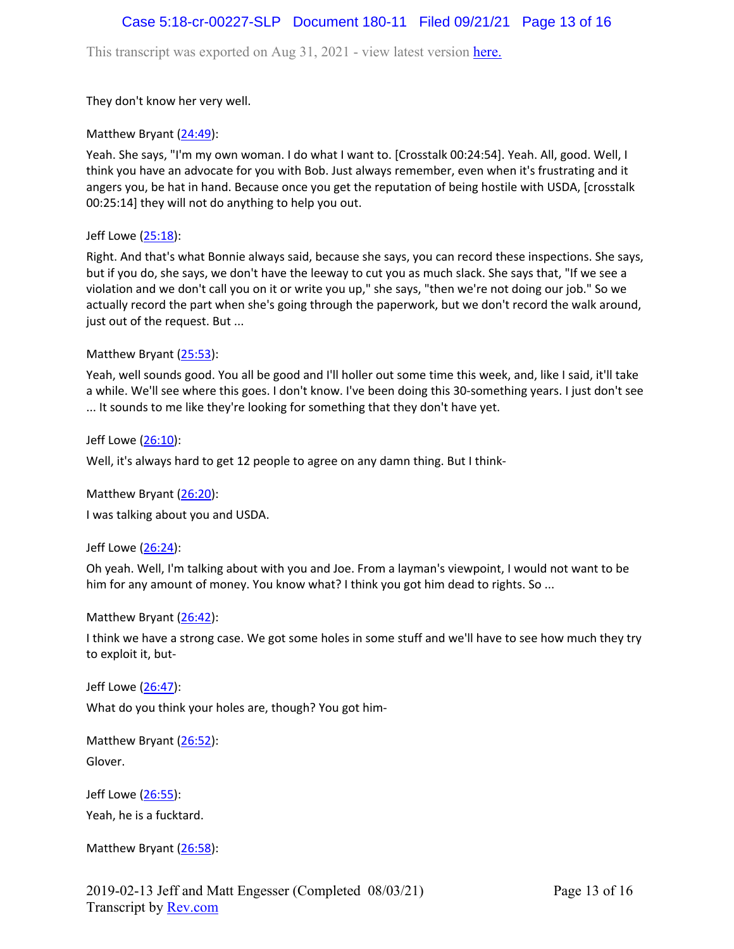## Case 5:18-cr-00227-SLP Document 180-11 Filed 09/21/21 Page 13 of 16

This transcript was exported on Aug 31, 2021 - view latest version [here.](https://www.rev.com/transcript-editor/Edit?token=4mO5ZsIvQHh7vC_JD3HCcVAx43sogecZ4KcDj5SY2EgU0n2j0tv6N0SOYbHFgzid9cJ5dHSW6zKV1BAVKjyK1rloiqE&loadFrom=DocumentHeaderDeepLink)

They don't know her very well.

Matthew Bryant ([24:49](https://www.rev.com/transcript-editor/Edit?token=UAoNvZhJTowBZqdy9C1evlfLuDXqdiAg4d5x92fimiOML4Sz4BkelCSyHVNsyCU6cTyYvurkF3B_EQJFOaHBhWA2ck8&loadFrom=DocumentDeeplink&ts=1489.31)):

Yeah. She says, "I'm my own woman. I do what I want to. [Crosstalk 00:24:54]. Yeah. All, good. Well, I think you have an advocate for you with Bob. Just always remember, even when it's frustrating and it angers you, be hat in hand. Because once you get the reputation of being hostile with USDA, [crosstalk 00:25:14] they will not do anything to help you out.

Jeff Lowe ([25:18](https://www.rev.com/transcript-editor/Edit?token=KjHsQi2d3nie1RlmbQarYLmFKz54WFrFHbA0nhlNo9Z4HwHKnf9IzlZzS82GI1IwqVrx__lCKGlrh4npn3k6Ov18AGM&loadFrom=DocumentDeeplink&ts=1518.66)):

Right. And that's what Bonnie always said, because she says, you can record these inspections. She says, but if you do, she says, we don't have the leeway to cut you as much slack. She says that, "If we see a violation and we don't call you on it or write you up," she says, "then we're not doing our job." So we actually record the part when she's going through the paperwork, but we don't record the walk around, just out of the request. But ...

### Matthew Bryant ([25:53](https://www.rev.com/transcript-editor/Edit?token=An_JVaRbU0wNfO3abAA12NNrxbr07hz7lYu2c4a94B8AK7Gt4MfUCYymO5foshUegtAboFO4DMATcvHJGAE1-vEPp7Y&loadFrom=DocumentDeeplink&ts=1553.02)):

Yeah, well sounds good. You all be good and I'll holler out some time this week, and, like I said, it'll take a while. We'll see where this goes. I don't know. I've been doing this 30-something years. I just don't see ... It sounds to me like they're looking for something that they don't have yet.

Jeff Lowe ([26:10](https://www.rev.com/transcript-editor/Edit?token=qInjAZNwUTm1frD94iXv-EooDv3BnhdY2cz9GE7aZ4ZXAOdgSLlipNC8yCr7te6t1mcPqAOEkSFJj2oQ5DysUs2T314&loadFrom=DocumentDeeplink&ts=1570.83)):

Well, it's always hard to get 12 people to agree on any damn thing. But I think-

Matthew Bryant ([26:20](https://www.rev.com/transcript-editor/Edit?token=19varPVoaF6DSGLXSosWdljCUXhyt--PS7awtLw8NDKAK1849wHRtzFI11P7OgOISz5RiJRFASCVI9KEW0WHf6YR_dE&loadFrom=DocumentDeeplink&ts=1580.69)):

I was talking about you and USDA.

Jeff Lowe ([26:24](https://www.rev.com/transcript-editor/Edit?token=PT0lJ_lAghGm6JKrLuY7oMzs1TUhMuLa2gOBO7pk5d_9zK3JNA-viiHUOMtHbxc9K1kHvgM3RBvUeg0rs_yLCN6KWNc&loadFrom=DocumentDeeplink&ts=1584.29)):

Oh yeah. Well, I'm talking about with you and Joe. From a layman's viewpoint, I would not want to be him for any amount of money. You know what? I think you got him dead to rights. So ...

Matthew Bryant ([26:42](https://www.rev.com/transcript-editor/Edit?token=bGzZIpMXH5hb5gBuHLNJqlGvWdel0C8Kuq_FClrjQK4gfVLnJa5dnnVxRLJbnyFGoYVhrZAbkeut6jfmR9OFai6Thfc&loadFrom=DocumentDeeplink&ts=1602.22)):

I think we have a strong case. We got some holes in some stuff and we'll have to see how much they try to exploit it, but-

Jeff Lowe ([26:47](https://www.rev.com/transcript-editor/Edit?token=XoZ6rqwIekuQ8WHtiG8ufHtoojFqYaiFSziq3H5Y4s0LXG6wT0IzHpU-hheseqZPqkxpIw88tOSHAYDyjPDqo5cdyxs&loadFrom=DocumentDeeplink&ts=1607.62)):

What do you think your holes are, though? You got him-

Matthew Bryant ([26:52](https://www.rev.com/transcript-editor/Edit?token=byTJENqxJfKlGOGgX8r6llA-RT4AgGNO8NxBIi1hUZjwaNfu_8_NUGXxjMY7LF5YImo7RujqfxcKZ545ZifBygHSlIw&loadFrom=DocumentDeeplink&ts=1612.04)):

Glover.

Jeff Lowe ([26:55](https://www.rev.com/transcript-editor/Edit?token=W1BICOsucNMW_SGDs2jEtVEOYpDhP4ngXCM3FN4bTZlv5DXGSIblxSSBsYi4Q2j1oDFx5HzjPbjtKccdVsrddFIDfQc&loadFrom=DocumentDeeplink&ts=1615.17)): Yeah, he is a fucktard.

Matthew Bryant ([26:58](https://www.rev.com/transcript-editor/Edit?token=wV9iMSke7Q2ip_z_nU3SdE5HzJTUKEG6xWr7hJK2rZPIdeSgEOMgPSq394dQT1t7I2ouATzNlndTWBZHg3X7KMaJC4I&loadFrom=DocumentDeeplink&ts=1618.7)):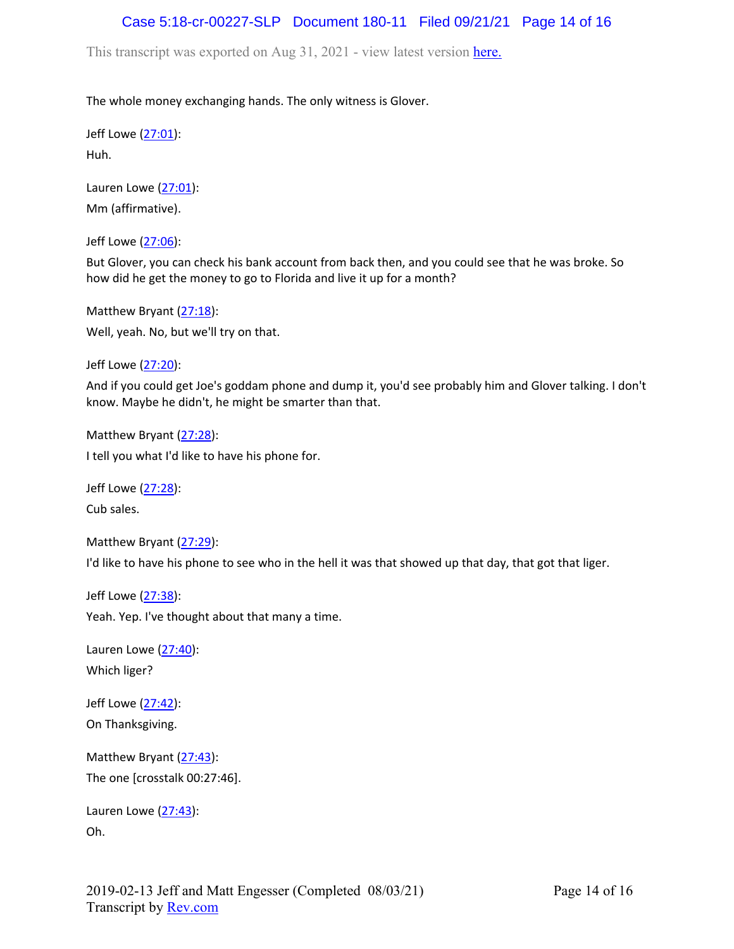## Case 5:18-cr-00227-SLP Document 180-11 Filed 09/21/21 Page 14 of 16

This transcript was exported on Aug 31, 2021 - view latest version [here.](https://www.rev.com/transcript-editor/Edit?token=4mO5ZsIvQHh7vC_JD3HCcVAx43sogecZ4KcDj5SY2EgU0n2j0tv6N0SOYbHFgzid9cJ5dHSW6zKV1BAVKjyK1rloiqE&loadFrom=DocumentHeaderDeepLink)

The whole money exchanging hands. The only witness is Glover.

Jeff Lowe ([27:01](https://www.rev.com/transcript-editor/Edit?token=SYpEd_XMlAPPlBhbf5RihXdl2gMorb5nyKiBZaJMeTm_JnZYerNfoRjBSM9a23JF4lE5ftr1iK1ulvdHwqCJg6Hg3Ww&loadFrom=DocumentDeeplink&ts=1621.86)): Huh.

Lauren Lowe  $(27:01)$  $(27:01)$  $(27:01)$ : Mm (affirmative).

Jeff Lowe ([27:06](https://www.rev.com/transcript-editor/Edit?token=RrZ-OcBZVL-NzQa4D8EZcNiN0ydtdGX38FBK62Fv4jpf37NQxTSJW0L1j7Z067LcnTkm_IwcEy_QXmfks0ohkzhCjBc&loadFrom=DocumentDeeplink&ts=1626.39)):

But Glover, you can check his bank account from back then, and you could see that he was broke. So how did he get the money to go to Florida and live it up for a month?

Matthew Bryant ([27:18](https://www.rev.com/transcript-editor/Edit?token=BGS7WBI3sOGxjtXHaRcU65Ybr8PUjNTJxFxbqTGbZl-0yudMPuqGSVdqgVeW0jAvWSVRZ4_6NsbZX2S7swU7JaYATo0&loadFrom=DocumentDeeplink&ts=1638.97)): Well, yeah. No, but we'll try on that.

Jeff Lowe ([27:20](https://www.rev.com/transcript-editor/Edit?token=XwoWHdN6CYiFk4Aij1hiqjtC2YA2SlCkK0nBTYOAZ91AlnZuhtYju07NB7B1A7DUigsqnU9joyML6GsUEfi2dFINGwU&loadFrom=DocumentDeeplink&ts=1640.79)):

And if you could get Joe's goddam phone and dump it, you'd see probably him and Glover talking. I don't know. Maybe he didn't, he might be smarter than that.

Matthew Bryant ([27:28](https://www.rev.com/transcript-editor/Edit?token=blxb8dV-5ySZqFTQFV0R_zR3zjikNp_GyJml5tRvxwHnb2tsYpaROE29dtjEcarn9wq9vlRUN3MYohC2dTMZD-NMTvM&loadFrom=DocumentDeeplink&ts=1648.95)): I tell you what I'd like to have his phone for.

Jeff Lowe ([27:28](https://www.rev.com/transcript-editor/Edit?token=eIaB3s7xg4pl9pgEVRTh3RK-j4Gp-WMagS2UIEgFx7vK2BAUVhFwpnYe0P68ycraN_hfOyBhdnKSDBk1dng1f0LsT18&loadFrom=DocumentDeeplink&ts=1648.95)):

Cub sales.

Matthew Bryant ([27:29](https://www.rev.com/transcript-editor/Edit?token=9NoFJg4ReXOSFL7mQdkx-t0ZwJHpxFyFOlzOeJ5Tt0BoEnC9suTZb2Np5n5cCOmNbp_l9R-rFRXJu9P6C04QN4XntrA&loadFrom=DocumentDeeplink&ts=1649.24)): I'd like to have his phone to see who in the hell it was that showed up that day, that got that liger.

Jeff Lowe ([27:38](https://www.rev.com/transcript-editor/Edit?token=h-x08vr1Ary6u7FUe-bXGC960SAgKub5dX-C-xSheu5voTILJY6srVW4TZOaVj540CX0PyKj-4AR_fSPD6Gs3eywDdc&loadFrom=DocumentDeeplink&ts=1658.52)): Yeah. Yep. I've thought about that many a time.

Lauren Lowe  $(27:40)$  $(27:40)$  $(27:40)$ : Which liger?

Jeff Lowe ([27:42](https://www.rev.com/transcript-editor/Edit?token=2f1TrMOoUdUj9hPRSsTvw5Tp_7sP4s72vMJaPbWOQtLfrhPrV-rP-oZ3ios3vvojFRm9Yy36248jx_z_fp_EaF1DnlA&loadFrom=DocumentDeeplink&ts=1662.69)): On Thanksgiving.

Matthew Bryant ([27:43](https://www.rev.com/transcript-editor/Edit?token=gqRl31GS9Vk_4PO9ogEAcJ1UhgOzefUQSC5LD_3Mf6c7TZ2QDcIaXZ0z6dRf1rCSHb24KcOYDX3PR5k-vvBFH0cIdyE&loadFrom=DocumentDeeplink&ts=1663.23)): The one [crosstalk 00:27:46].

Lauren Lowe ([27:43](https://www.rev.com/transcript-editor/Edit?token=aAO0SpBPNRurdnHxpCgQI6B3oRqkkIut7nT-MEB583kw8tX-bh7vTjYPKnGLTUbyPJCX0OUqMWmarNVrMYDBR3kbCow&loadFrom=DocumentDeeplink&ts=1663.25)): Oh.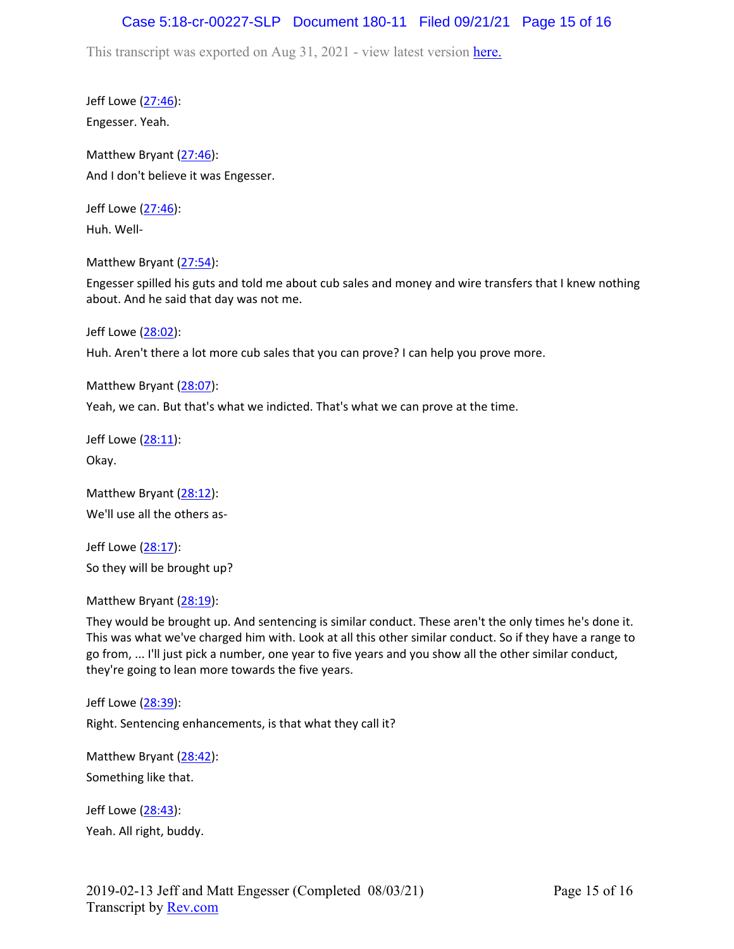## Case 5:18-cr-00227-SLP Document 180-11 Filed 09/21/21 Page 15 of 16

This transcript was exported on Aug 31, 2021 - view latest version [here.](https://www.rev.com/transcript-editor/Edit?token=4mO5ZsIvQHh7vC_JD3HCcVAx43sogecZ4KcDj5SY2EgU0n2j0tv6N0SOYbHFgzid9cJ5dHSW6zKV1BAVKjyK1rloiqE&loadFrom=DocumentHeaderDeepLink)

Jeff Lowe ([27:46](https://www.rev.com/transcript-editor/Edit?token=ofjXUt0FEgEZAmOBXw9-RW8V349lzOThZeX7COopzEXSuXqa2RLfQ1T2GY4VrdBL3TWDV1FqGePWG-0K_Ak7Etu4PWk&loadFrom=DocumentDeeplink&ts=1666)): Engesser. Yeah.

Matthew Bryant ([27:46](https://www.rev.com/transcript-editor/Edit?token=-kPzZqFh7WJku-LSjZmtbJPGPg2UGTE3dG6DmmoWBGV6TyJMSItviIN8_dInHyp27VsJ-kOpspejQB6I0pvyP5ja7sE&loadFrom=DocumentDeeplink&ts=1666)): And I don't believe it was Engesser.

Jeff Lowe ([27:46](https://www.rev.com/transcript-editor/Edit?token=rmUhrJrABvx8LOITchC-X76PEJDfbg0Z_7_ZmVZtusqBevnaDgGxArctgoHZhjy6xPnsiEsyNw7B8psowzVaEsIdMMY&loadFrom=DocumentDeeplink&ts=1666)): Huh. Well-

Matthew Bryant ([27:54](https://www.rev.com/transcript-editor/Edit?token=vB5FaYTYosemTClfXqoefUr5DtU5pHEYtAuhTMH3tws1BAEuJeW_xksZePB06l_O09NvV0cvchuX4Ufck3vRiYMnHHY&loadFrom=DocumentDeeplink&ts=1674.42)):

Engesser spilled his guts and told me about cub sales and money and wire transfers that I knew nothing about. And he said that day was not me.

Jeff Lowe ([28:02](https://www.rev.com/transcript-editor/Edit?token=P5ch5VzZ7puQ3krz8gb7booVtzFs_CY-2m0gWpYVfTnSY0kl0niqv-ZM1aVvtazLN0PjaK6beD1xH6STI3YNkdBP6dg&loadFrom=DocumentDeeplink&ts=1682.12)):

Huh. Aren't there a lot more cub sales that you can prove? I can help you prove more.

Matthew Bryant ([28:07](https://www.rev.com/transcript-editor/Edit?token=sW66HMFoGXSbE3lxExnam8y_pW2Tc7QeLD_B_gl12-uwpiWnPuMZBHnM8aZMpz8a6dF7y8AfVyYadWXVUcPj7mAaxQk&loadFrom=DocumentDeeplink&ts=1687.89)):

Yeah, we can. But that's what we indicted. That's what we can prove at the time.

Jeff Lowe ([28:11](https://www.rev.com/transcript-editor/Edit?token=P1xErD3y4pmGsWzPyGDc7KfflR_00bCG1OPOrSCjuIyk5ZIVUDQUIOMvl-UcYVWskziwVZGO2aZMq1XfVm5mMFpGF2w&loadFrom=DocumentDeeplink&ts=1691.31)): Okay.

Matthew Bryant ([28:12](https://www.rev.com/transcript-editor/Edit?token=Rs0UAoLw1Zondyood42QfuZ-XKI1KUpmohtphsv8DgnaOe3doxnZBACLpT8KE3wKvqWuwwZhfiqfO1ee_5rPy7wC0JQ&loadFrom=DocumentDeeplink&ts=1692.68)): We'll use all the others as-

Jeff Lowe ([28:17](https://www.rev.com/transcript-editor/Edit?token=S46obOXLEszhRB4ejgr6b72_GM9J8aUxofRwYfTA1t1MkzHq4yuBWP_J4_6COFEU4G71bYmFAI2HUJL-_WHVK2SEPD0&loadFrom=DocumentDeeplink&ts=1697.39)): So they will be brought up?

Matthew Bryant ([28:19](https://www.rev.com/transcript-editor/Edit?token=fEJVpWlUAYb6zSaslVsSKDzuL4l1uNB_iaubLpdg0CLVj6thVdusPvuHpl72O6kKOVRejV_Gg2OSBK59TgfXYIB5r5k&loadFrom=DocumentDeeplink&ts=1699.01)):

They would be brought up. And sentencing is similar conduct. These aren't the only times he's done it. This was what we've charged him with. Look at all this other similar conduct. So if they have a range to go from, ... I'll just pick a number, one year to five years and you show all the other similar conduct, they're going to lean more towards the five years.

Jeff Lowe ([28:39](https://www.rev.com/transcript-editor/Edit?token=ftAluHXoOh0EFbcSUCP5-VBMR-Vu8W3BHLna_2d4tEHHY1Y4MNkTAlIb_UZ8_IxbXoDIPm0Y7_2KfRc0biSBoPQG5w8&loadFrom=DocumentDeeplink&ts=1719.15)): Right. Sentencing enhancements, is that what they call it?

Matthew Bryant ([28:42](https://www.rev.com/transcript-editor/Edit?token=FhlGm4H-hNQQvEPjsbyfoVNPH2sKnFK4o-b4eK5V7yn3dL7xqJlcB2nWEaxU7poHSzBK-3fqhE5A5pHL--CR9qbmlpw&loadFrom=DocumentDeeplink&ts=1722.81)): Something like that.

Jeff Lowe ([28:43](https://www.rev.com/transcript-editor/Edit?token=v9zgtMNH4Pds8-kgoFnMmIT7Ovzolx86-jOy0PHaq49p2UBUsr73ynGRBCL-7GiAZDkhgIIjxFvYzwqiRSUWp0u10Kw&loadFrom=DocumentDeeplink&ts=1723.49)): Yeah. All right, buddy.